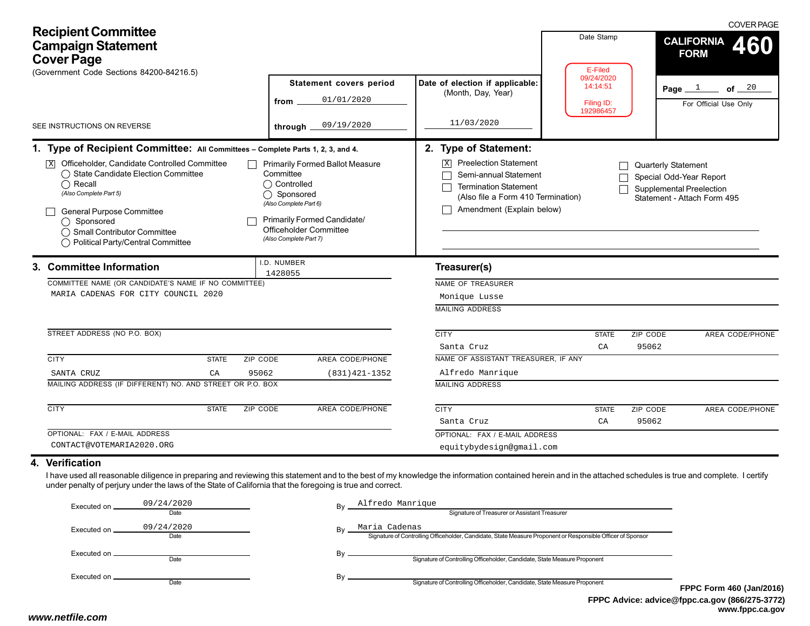| <b>Recipient Committee</b><br><b>Campaign Statement</b><br><b>Cover Page</b><br>(Government Code Sections 84200-84216.5)                                                                                                                                                                                                                                                                                                                                                                        |                                                                                             |                                 |                                                                                                                                                                             |                                                                     | Date Stamp<br>E-Filed<br>09/24/2020 |                                                                                           | <b>COVER PAGE</b><br><b>CALIFORNIA</b><br>460<br><b>FORM</b> |  |
|-------------------------------------------------------------------------------------------------------------------------------------------------------------------------------------------------------------------------------------------------------------------------------------------------------------------------------------------------------------------------------------------------------------------------------------------------------------------------------------------------|---------------------------------------------------------------------------------------------|---------------------------------|-----------------------------------------------------------------------------------------------------------------------------------------------------------------------------|---------------------------------------------------------------------|-------------------------------------|-------------------------------------------------------------------------------------------|--------------------------------------------------------------|--|
|                                                                                                                                                                                                                                                                                                                                                                                                                                                                                                 |                                                                                             |                                 | <b>Statement covers period</b><br>01/01/2020<br>from                                                                                                                        | Date of election if applicable:<br>(Month, Day, Year)               | 14:14:51<br>Filing ID:<br>192986457 |                                                                                           | of $\frac{20}{1}$<br>Page $1$<br>For Official Use Only       |  |
|                                                                                                                                                                                                                                                                                                                                                                                                                                                                                                 | SEE INSTRUCTIONS ON REVERSE                                                                 |                                 | 09/19/2020<br>through $\overline{\phantom{a}}$                                                                                                                              | 11/03/2020                                                          |                                     |                                                                                           |                                                              |  |
|                                                                                                                                                                                                                                                                                                                                                                                                                                                                                                 | 1. Type of Recipient Committee: All Committees - Complete Parts 1, 2, 3, and 4.             |                                 |                                                                                                                                                                             | 2. Type of Statement:                                               |                                     |                                                                                           |                                                              |  |
| $\overline{X}$ Officeholder, Candidate Controlled Committee<br><b>Primarily Formed Ballot Measure</b><br>◯ State Candidate Election Committee<br>Committee<br>$\bigcap$ Recall<br>$\bigcap$ Controlled<br>(Also Complete Part 5)<br>◯ Sponsored<br>(Also Complete Part 6)<br>General Purpose Committee<br><b>Primarily Formed Candidate/</b><br>$\bigcap$ Sponsored<br>Officeholder Committee<br>◯ Small Contributor Committee<br>(Also Complete Part 7)<br>◯ Political Party/Central Committee |                                                                                             |                                 | <b>Preelection Statement</b><br>$\vert X \vert$<br>Semi-annual Statement<br><b>Termination Statement</b><br>(Also file a Form 410 Termination)<br>Amendment (Explain below) |                                                                     | <b>Quarterly Statement</b>          | Special Odd-Year Report<br><b>Supplemental Preelection</b><br>Statement - Attach Form 495 |                                                              |  |
|                                                                                                                                                                                                                                                                                                                                                                                                                                                                                                 | 3. Committee Information                                                                    |                                 | .D. NUMBER<br>1428055                                                                                                                                                       | Treasurer(s)                                                        |                                     |                                                                                           |                                                              |  |
|                                                                                                                                                                                                                                                                                                                                                                                                                                                                                                 | COMMITTEE NAME (OR CANDIDATE'S NAME IF NO COMMITTEE)<br>MARIA CADENAS FOR CITY COUNCIL 2020 |                                 |                                                                                                                                                                             | <b>NAME OF TREASURER</b><br>Monique Lusse<br><b>MAILING ADDRESS</b> |                                     |                                                                                           |                                                              |  |
|                                                                                                                                                                                                                                                                                                                                                                                                                                                                                                 | STREET ADDRESS (NO P.O. BOX)                                                                |                                 |                                                                                                                                                                             | <b>CITY</b>                                                         | <b>STATE</b>                        | ZIP CODE                                                                                  | AREA CODE/PHONE                                              |  |
|                                                                                                                                                                                                                                                                                                                                                                                                                                                                                                 |                                                                                             |                                 |                                                                                                                                                                             | Santa Cruz                                                          | CA                                  | 95062                                                                                     |                                                              |  |
| <b>CITY</b>                                                                                                                                                                                                                                                                                                                                                                                                                                                                                     |                                                                                             | ZIP CODE<br><b>STATE</b>        | AREA CODE/PHONE                                                                                                                                                             | NAME OF ASSISTANT TREASURER, IF ANY                                 |                                     |                                                                                           |                                                              |  |
|                                                                                                                                                                                                                                                                                                                                                                                                                                                                                                 | SANTA CRUZ                                                                                  | 95062<br>CA                     | $(831)421 - 1352$                                                                                                                                                           | Alfredo Manrique                                                    |                                     |                                                                                           |                                                              |  |
|                                                                                                                                                                                                                                                                                                                                                                                                                                                                                                 | MAILING ADDRESS (IF DIFFERENT) NO. AND STREET OR P.O. BOX                                   |                                 |                                                                                                                                                                             | <b>MAILING ADDRESS</b>                                              |                                     |                                                                                           |                                                              |  |
| <b>CITY</b>                                                                                                                                                                                                                                                                                                                                                                                                                                                                                     |                                                                                             | <b>STATE</b><br><b>ZIP CODE</b> | AREA CODE/PHONE                                                                                                                                                             | <b>CITY</b>                                                         | <b>STATE</b>                        | ZIP CODE                                                                                  | AREA CODE/PHONE                                              |  |
|                                                                                                                                                                                                                                                                                                                                                                                                                                                                                                 |                                                                                             |                                 |                                                                                                                                                                             | Santa Cruz                                                          | CA                                  | 95062                                                                                     |                                                              |  |
|                                                                                                                                                                                                                                                                                                                                                                                                                                                                                                 | OPTIONAL: FAX / E-MAIL ADDRESS                                                              |                                 |                                                                                                                                                                             | OPTIONAL: FAX / E-MAIL ADDRESS                                      |                                     |                                                                                           |                                                              |  |
|                                                                                                                                                                                                                                                                                                                                                                                                                                                                                                 | CONTACT@VOTEMARIA2020.ORG                                                                   |                                 |                                                                                                                                                                             | equitybydesign@gmail.com                                            |                                     |                                                                                           |                                                              |  |

I have used all reasonable diligence in preparing and reviewing this statement and to the best of my knowledge the information contained herein and in the attached schedules is true and complete. I certify under penalty of perjury under the laws of the State of California that the foregoing is true and correct.

| Executed on     | 09/24/2020                 | Bv | Alfredo Manrique<br>Signature of Treasurer or Assistant Treasurer                                                            |                 |
|-----------------|----------------------------|----|------------------------------------------------------------------------------------------------------------------------------|-----------------|
| Executed on.    | Date<br>09/24/2020<br>Date | Bv | Maria Cadenas<br>Signature of Controlling Officeholder, Candidate, State Measure Proponent or Responsible Officer of Sponsor |                 |
| Executed on $-$ | Date                       | Bv | Signature of Controlling Officeholder, Candidate, State Measure Proponent                                                    |                 |
| Executed on __  | Date                       | Bv | Signature of Controlling Officeholder, Candidate, State Measure Proponent                                                    | <b>FPPC For</b> |

**FPPC Advice: advice@fppc.ca.gov (866/275-3772) www.fppc.ca.gov FPPC Form 460 (Jan/2016)**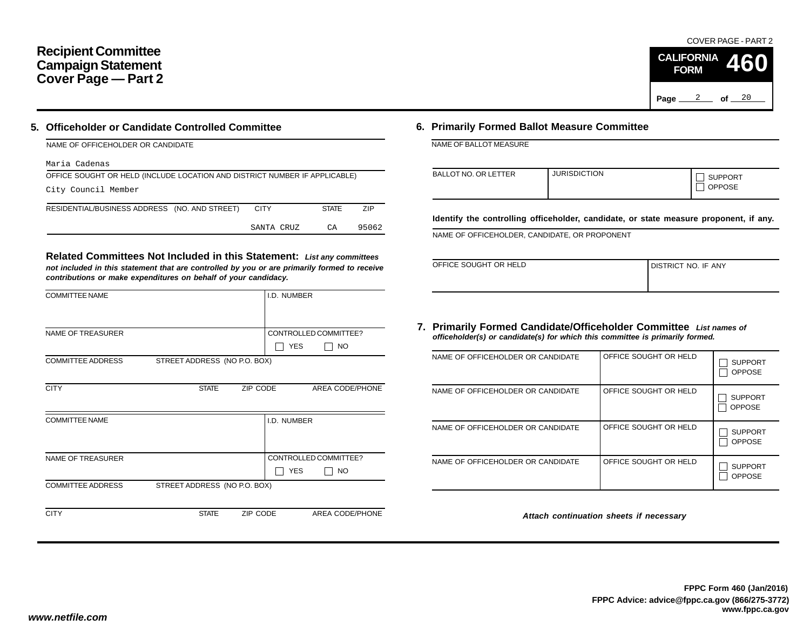#### **Recipient Committee Campaign Statement Cover Page — Part 2**

#### **5. Officeholder or Candidate Controlled Committee**

| NAME OF OFFICEHOLDER OR CANDIDATE                                          |             |              |       |
|----------------------------------------------------------------------------|-------------|--------------|-------|
| Maria Cadenas                                                              |             |              |       |
| OFFICE SOUGHT OR HELD (INCLUDE LOCATION AND DISTRICT NUMBER IF APPLICABLE) |             |              |       |
| City Council Member                                                        |             |              |       |
| RESIDENTIAL/BUSINESS ADDRESS (NO. AND STREET)                              | <b>CITY</b> | <b>STATE</b> | ZIP   |
|                                                                            | SANTA CRUZ  | СA           | 95062 |

**Related Committees Not Included in this Statement:** *List any committees not included in this statement that are controlled by you or are primarily formed to receive contributions or make expenditures on behalf of your candidacy.*

| <b>COMMITTEE NAME</b>    |                              |          | I.D. NUMBER |                       |
|--------------------------|------------------------------|----------|-------------|-----------------------|
|                          |                              |          |             |                       |
| <b>NAME OF TREASURER</b> |                              |          |             | CONTROLLED COMMITTEE? |
|                          |                              |          | <b>YES</b>  | <b>NO</b>             |
| <b>COMMITTEE ADDRESS</b> | STREET ADDRESS (NO P.O. BOX) |          |             |                       |
|                          |                              |          |             |                       |
| <b>CITY</b>              | <b>STATE</b>                 | ZIP CODE |             | AREA CODE/PHONE       |
|                          |                              |          |             |                       |
| <b>COMMITTEE NAME</b>    |                              |          | I.D. NUMBER |                       |
|                          |                              |          |             |                       |
|                          |                              |          |             |                       |
| <b>NAME OF TREASURER</b> |                              |          |             | CONTROLLED COMMITTEE? |
|                          |                              |          | <b>YES</b>  | NO.                   |
| <b>COMMITTEE ADDRESS</b> | STREET ADDRESS (NO P.O. BOX) |          |             |                       |
|                          |                              |          |             |                       |
| <b>CITY</b>              | <b>STATE</b>                 | ZIP CODE |             | AREA CODE/PHONE       |
|                          |                              |          |             |                       |

#### **6. Primarily Formed Ballot Measure Committee**

NAME OF BALLOT MEASURE

| BALLOT NO. OR LETTER | <b>JURISDICTION</b> | <b>SUPPORT</b><br><b>OPPOSE</b> |
|----------------------|---------------------|---------------------------------|
|----------------------|---------------------|---------------------------------|

**Identify the controlling officeholder, candidate, or state measure proponent, if any.**

NAME OF OFFICEHOLDER, CANDIDATE, OR PROPONENT

| OFFICE SOUGHT OR HELD | I DISTRICT NO. IF ANY |
|-----------------------|-----------------------|
|                       |                       |

#### **7. Primarily Formed Candidate/Officeholder Committee** *List names of officeholder(s) or candidate(s) for which this committee is primarily formed.*

| NAME OF OFFICEHOLDER OR CANDIDATE | OFFICE SOUGHT OR HELD | <b>SUPPORT</b><br><b>OPPOSE</b> |
|-----------------------------------|-----------------------|---------------------------------|
| NAME OF OFFICEHOLDER OR CANDIDATE | OFFICE SOUGHT OR HELD | <b>SUPPORT</b><br><b>OPPOSE</b> |
| NAME OF OFFICEHOLDER OR CANDIDATE | OFFICE SOUGHT OR HELD | <b>SUPPORT</b><br><b>OPPOSE</b> |
| NAME OF OFFICEHOLDER OR CANDIDATE | OFFICE SOUGHT OR HELD | <b>SUPPORT</b><br><b>OPPOSE</b> |

*Attach continuation sheets if necessary*

COVER PAGE - PART 2

**460**

Page <u>2</u> of 20

**CALIFORNIA FORM**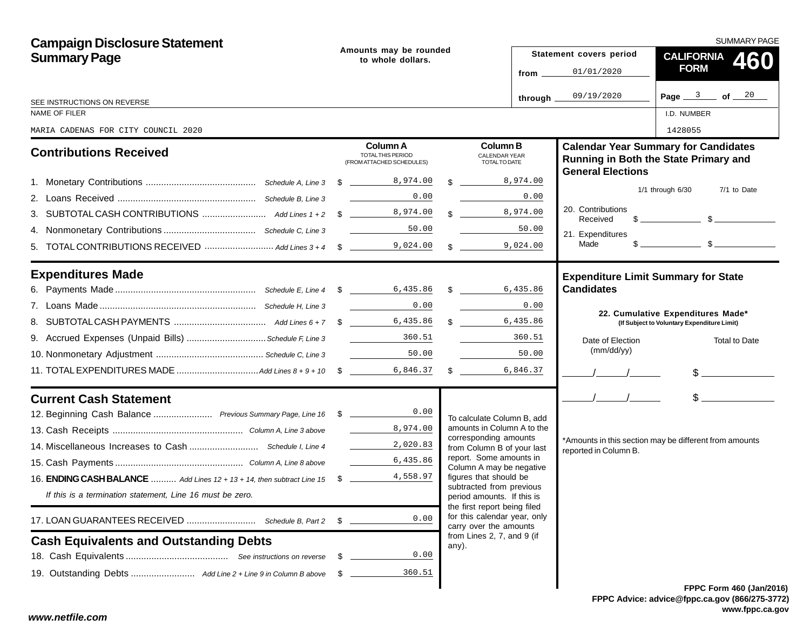| <b>Campaign Disclosure Statement</b>                                              |    |                                                                  |  |                                                            |                               | SUMMARY PAGE                  |                                                                                                                                                                                                                                                                                                                     |  |  |  |
|-----------------------------------------------------------------------------------|----|------------------------------------------------------------------|--|------------------------------------------------------------|-------------------------------|-------------------------------|---------------------------------------------------------------------------------------------------------------------------------------------------------------------------------------------------------------------------------------------------------------------------------------------------------------------|--|--|--|
| <b>Summary Page</b>                                                               |    | Amounts may be rounded<br>to whole dollars.                      |  |                                                            |                               | Statement covers period       | <b>CALIFORNIA</b><br>460                                                                                                                                                                                                                                                                                            |  |  |  |
|                                                                                   |    |                                                                  |  |                                                            | from $\overline{\phantom{a}}$ | 01/01/2020                    | <b>FORM</b>                                                                                                                                                                                                                                                                                                         |  |  |  |
| SEE INSTRUCTIONS ON REVERSE                                                       |    |                                                                  |  |                                                            | through.                      | 09/19/2020                    | Page $3$ of $20$                                                                                                                                                                                                                                                                                                    |  |  |  |
| NAME OF FILER                                                                     |    |                                                                  |  |                                                            |                               |                               | I.D. NUMBER                                                                                                                                                                                                                                                                                                         |  |  |  |
| MARIA CADENAS FOR CITY COUNCIL 2020                                               |    |                                                                  |  |                                                            |                               |                               | 1428055                                                                                                                                                                                                                                                                                                             |  |  |  |
| <b>Contributions Received</b>                                                     |    | Column A<br>TOTAL THIS PERIOD<br>(FROM ATTACHED SCHEDULES)       |  | <b>Column B</b><br>CALENDAR YEAR<br>TOTAL TO DATE          |                               | <b>General Elections</b>      | <b>Calendar Year Summary for Candidates</b><br>Running in Both the State Primary and                                                                                                                                                                                                                                |  |  |  |
|                                                                                   |    |                                                                  |  | $\frac{1}{3}$ 8,974.00                                     |                               |                               |                                                                                                                                                                                                                                                                                                                     |  |  |  |
|                                                                                   |    | 0.00                                                             |  |                                                            | 0.00                          |                               | $1/1$ through $6/30$<br>7/1 to Date                                                                                                                                                                                                                                                                                 |  |  |  |
|                                                                                   |    |                                                                  |  | $\frac{8,974.00}{8}$                                       |                               | 20. Contributions<br>Received | $\frac{1}{2}$ $\frac{1}{2}$ $\frac{1}{2}$ $\frac{1}{2}$ $\frac{1}{2}$ $\frac{1}{2}$ $\frac{1}{2}$ $\frac{1}{2}$ $\frac{1}{2}$ $\frac{1}{2}$ $\frac{1}{2}$ $\frac{1}{2}$ $\frac{1}{2}$ $\frac{1}{2}$ $\frac{1}{2}$ $\frac{1}{2}$ $\frac{1}{2}$ $\frac{1}{2}$ $\frac{1}{2}$ $\frac{1}{2}$ $\frac{1}{2}$ $\frac{1}{2}$ |  |  |  |
|                                                                                   |    | 50.00                                                            |  |                                                            | 50.00                         | 21. Expenditures              |                                                                                                                                                                                                                                                                                                                     |  |  |  |
|                                                                                   |    |                                                                  |  | $\frac{1}{2}$                                              | 9,024.00                      | Made                          |                                                                                                                                                                                                                                                                                                                     |  |  |  |
| <b>Expenditures Made</b>                                                          |    |                                                                  |  |                                                            |                               |                               | <b>Expenditure Limit Summary for State</b>                                                                                                                                                                                                                                                                          |  |  |  |
|                                                                                   |    |                                                                  |  |                                                            |                               | <b>Candidates</b>             |                                                                                                                                                                                                                                                                                                                     |  |  |  |
|                                                                                   |    | 0.00                                                             |  |                                                            | 0.00                          |                               |                                                                                                                                                                                                                                                                                                                     |  |  |  |
|                                                                                   |    |                                                                  |  | \$ 6,435.86                                                |                               |                               | 22. Cumulative Expenditures Made*<br>(If Subject to Voluntary Expenditure Limit)                                                                                                                                                                                                                                    |  |  |  |
|                                                                                   |    |                                                                  |  |                                                            | 360.51                        | Date of Election              | Total to Date                                                                                                                                                                                                                                                                                                       |  |  |  |
|                                                                                   |    | 50.00                                                            |  |                                                            | 50.00                         | (mm/dd/yy)                    |                                                                                                                                                                                                                                                                                                                     |  |  |  |
|                                                                                   |    |                                                                  |  | $\frac{1}{2}$                                              | 6,846.37                      |                               | $\frac{1}{2}$                                                                                                                                                                                                                                                                                                       |  |  |  |
| <b>Current Cash Statement</b>                                                     |    |                                                                  |  |                                                            |                               | $\frac{1}{2}$                 | $\frac{1}{2}$                                                                                                                                                                                                                                                                                                       |  |  |  |
| 12. Beginning Cash Balance  Previous Summary Page, Line 16 \$ _______________0.00 |    |                                                                  |  | To calculate Column B, add                                 |                               |                               |                                                                                                                                                                                                                                                                                                                     |  |  |  |
|                                                                                   |    | 8,974.00<br>$\mathcal{L}^{\text{max}}(\mathcal{L}^{\text{max}})$ |  | amounts in Column A to the<br>corresponding amounts        |                               |                               |                                                                                                                                                                                                                                                                                                                     |  |  |  |
|                                                                                   |    | 2,020.83                                                         |  | from Column B of your last                                 |                               | reported in Column B.         | *Amounts in this section may be different from amounts                                                                                                                                                                                                                                                              |  |  |  |
|                                                                                   |    | 6,435.86                                                         |  | report. Some amounts in<br>Column A may be negative        |                               |                               |                                                                                                                                                                                                                                                                                                                     |  |  |  |
| 16. <b>ENDING CASH BALANCE</b> Add Lines 12 + 13 + 14, then subtract Line 15 \$   |    | 4,558.97                                                         |  | figures that should be<br>subtracted from previous         |                               |                               |                                                                                                                                                                                                                                                                                                                     |  |  |  |
| If this is a termination statement, Line 16 must be zero.                         |    |                                                                  |  | period amounts. If this is<br>the first report being filed |                               |                               |                                                                                                                                                                                                                                                                                                                     |  |  |  |
|                                                                                   | \$ | 0.00                                                             |  | for this calendar year, only<br>carry over the amounts     |                               |                               |                                                                                                                                                                                                                                                                                                                     |  |  |  |
| <b>Cash Equivalents and Outstanding Debts</b>                                     |    |                                                                  |  | from Lines 2, 7, and 9 (if<br>any).                        |                               |                               |                                                                                                                                                                                                                                                                                                                     |  |  |  |
|                                                                                   | \$ | 0.00                                                             |  |                                                            |                               |                               |                                                                                                                                                                                                                                                                                                                     |  |  |  |
|                                                                                   | -S | 360.51                                                           |  |                                                            |                               |                               |                                                                                                                                                                                                                                                                                                                     |  |  |  |
|                                                                                   |    |                                                                  |  |                                                            |                               |                               | FPPC Form 460 (Jan/201                                                                                                                                                                                                                                                                                              |  |  |  |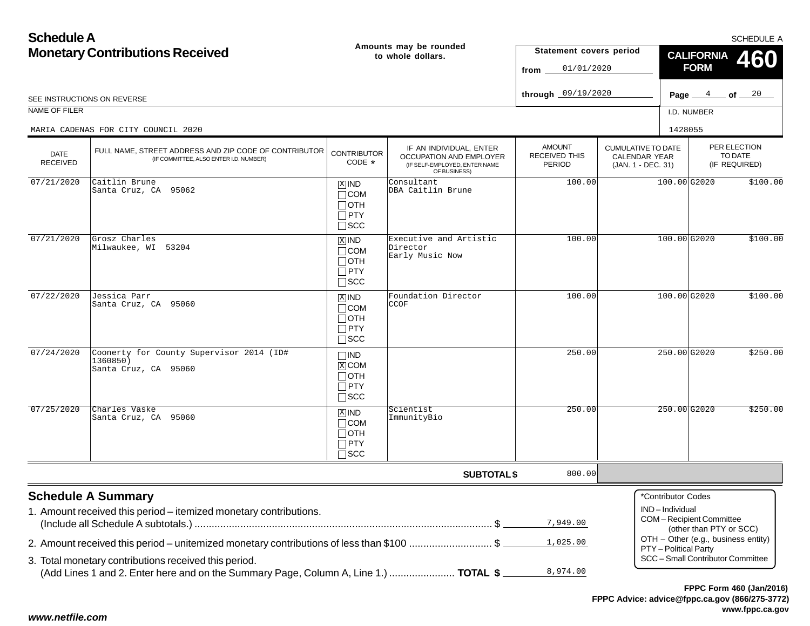| <b>Schedule A</b>              |                                                                                                                                                   |                                                                    | SCHEDULE A                                                                                          |                                          |                                                                  |                                         |                                                                          |          |  |
|--------------------------------|---------------------------------------------------------------------------------------------------------------------------------------------------|--------------------------------------------------------------------|-----------------------------------------------------------------------------------------------------|------------------------------------------|------------------------------------------------------------------|-----------------------------------------|--------------------------------------------------------------------------|----------|--|
|                                | <b>Monetary Contributions Received</b>                                                                                                            |                                                                    | Amounts may be rounded<br>Statement covers period<br>to whole dollars.<br>from                      |                                          |                                                                  | <b>CALIFORNIA</b><br>460<br><b>FORM</b> |                                                                          |          |  |
|                                | SEE INSTRUCTIONS ON REVERSE                                                                                                                       |                                                                    |                                                                                                     | through 09/19/2020                       |                                                                  |                                         | Page $4$ of $20$                                                         |          |  |
| <b>NAME OF FILER</b>           |                                                                                                                                                   |                                                                    |                                                                                                     |                                          |                                                                  | I.D. NUMBER                             |                                                                          |          |  |
|                                |                                                                                                                                                   |                                                                    |                                                                                                     |                                          |                                                                  | 1428055                                 |                                                                          |          |  |
| <b>DATE</b><br><b>RECEIVED</b> | MARIA CADENAS FOR CITY COUNCIL 2020<br>FULL NAME, STREET ADDRESS AND ZIP CODE OF CONTRIBUTOR<br>(IF COMMITTEE, ALSO ENTER I.D. NUMBER)            | <b>CONTRIBUTOR</b><br>CODE *                                       | IF AN INDIVIDUAL, ENTER<br>OCCUPATION AND EMPLOYER<br>(IF SELF-EMPLOYED, ENTER NAME<br>OF BUSINESS) | AMOUNT<br><b>RECEIVED THIS</b><br>PERIOD | <b>CUMULATIVE TO DATE</b><br>CALENDAR YEAR<br>(JAN. 1 - DEC. 31) |                                         | PER ELECTION<br>(IF REQUIRED)                                            | TO DATE  |  |
| 07/21/2020                     | Caitlin Brune<br>Santa Cruz, CA 95062                                                                                                             | $X$ IND<br>$\Box$ COM<br>$\Box$ OTH<br>$\Box$ PTY<br>$\square$ SCC | Consultant<br>DBA Caitlin Brune                                                                     | 100.00                                   |                                                                  | 100.00 G2020                            |                                                                          | \$100.00 |  |
| 07/21/2020                     | Grosz Charles<br>Milwaukee, WI 53204                                                                                                              | $X$ IND<br>$\Box$ COM<br>$\Box$ OTH<br>$\Box$ PTY<br>$\square$ SCC | Executive and Artistic<br>Director<br>Early Music Now                                               | 100.00                                   |                                                                  | 100.00 G2020                            |                                                                          | \$100.00 |  |
| 07/22/2020                     | Jessica Parr<br>Santa Cruz, CA 95060                                                                                                              | $X$ IND<br>$\Box$ COM<br>$\Box$ OTH<br>$\Box$ PTY<br>$\square$ SCC | Foundation Director<br><b>CCOF</b>                                                                  | 100.00                                   |                                                                  | 100.00 G2020                            |                                                                          | \$100.00 |  |
| 07/24/2020                     | Coonerty for County Supervisor 2014 (ID#<br>1360850)<br>Santa Cruz, CA 95060                                                                      | $\Box$ IND<br>$X$ COM<br>$\Box$ OTH<br>$\Box$ PTY<br>$\square$ SCC |                                                                                                     | 250.00                                   |                                                                  | 250.00 G2020                            |                                                                          | \$250.00 |  |
| 07/25/2020                     | Charles Vaske<br>Santa Cruz, CA 95060                                                                                                             | $X$ IND<br>$\Box$ COM<br>$\Box$ OTH<br>$\Box$ PTY<br>$\Box$ scc    | Scientist<br>ImmunityBio                                                                            | 250.00                                   |                                                                  | 250.00 G2020                            |                                                                          | \$250.00 |  |
|                                |                                                                                                                                                   |                                                                    | <b>SUBTOTAL \$</b>                                                                                  | 800.00                                   |                                                                  |                                         |                                                                          |          |  |
|                                | <b>Schedule A Summary</b><br>1. Amount received this period - itemized monetary contributions.                                                    |                                                                    |                                                                                                     | 7,949.00                                 |                                                                  | *Contributor Codes<br>IND-Individual    | COM-Recipient Committee<br>(other than PTY or SCC)                       |          |  |
|                                | 2. Amount received this period – unitemized monetary contributions of less than \$100 \$<br>3. Total monetary contributions received this period. |                                                                    |                                                                                                     | 1,025.00<br>8,974.00                     |                                                                  | PTY - Political Party                   | OTH - Other (e.g., business entity)<br>SCC - Small Contributor Committee |          |  |
|                                | (Add Lines 1 and 2. Enter here and on the Summary Page, Column A, Line 1.)  TOTAL \$                                                              |                                                                    |                                                                                                     |                                          |                                                                  |                                         |                                                                          |          |  |

#### *www.netfile.com*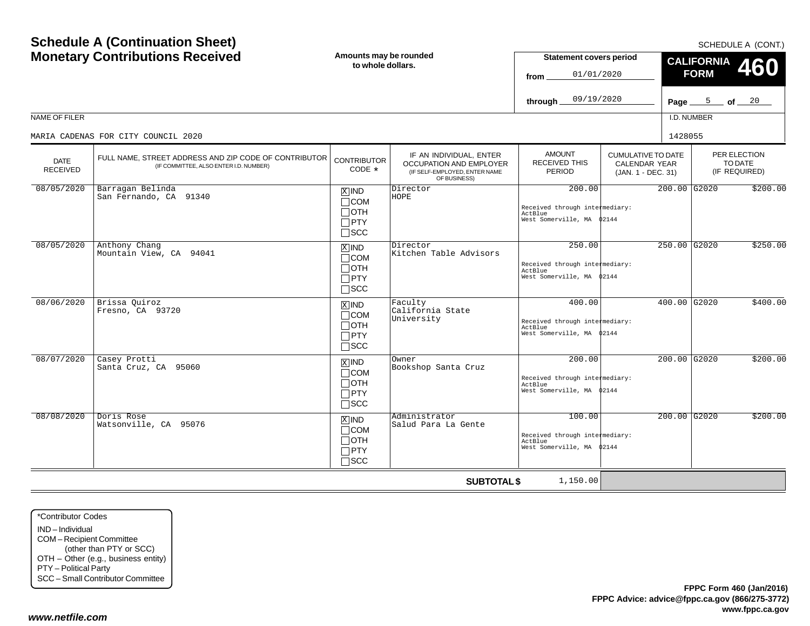| <b>Schedule A (Continuation Sheet)</b><br><b>Monetary Contributions Received</b><br><b>NAME OF FILER</b> |                                                                                                                                        | Amounts may be rounded<br>to whole dollars.                                       |                                                                                                            | <b>Statement covers period</b><br>01/01/2020<br>from<br>09/19/2020<br>through     |                                                                         | SCHEDULE A (CONT.)<br><b>CALIFORNIA</b><br><b>460</b><br><b>FORM</b><br>Page $\frac{5}{20}$ of $\frac{20}{20}$<br>I.D. NUMBER |                |                                          |
|----------------------------------------------------------------------------------------------------------|----------------------------------------------------------------------------------------------------------------------------------------|-----------------------------------------------------------------------------------|------------------------------------------------------------------------------------------------------------|-----------------------------------------------------------------------------------|-------------------------------------------------------------------------|-------------------------------------------------------------------------------------------------------------------------------|----------------|------------------------------------------|
| <b>DATE</b><br><b>RECEIVED</b>                                                                           | MARIA CADENAS FOR CITY COUNCIL 2020<br>FULL NAME, STREET ADDRESS AND ZIP CODE OF CONTRIBUTOR<br>(IF COMMITTEE, ALSO ENTER I.D. NUMBER) | <b>CONTRIBUTOR</b><br>CODE *                                                      | IF AN INDIVIDUAL, ENTER<br><b>OCCUPATION AND EMPLOYER</b><br>(IF SELF-EMPLOYED, ENTER NAME<br>OF BUSINESS) | <b>AMOUNT</b><br>RECEIVED THIS<br><b>PERIOD</b>                                   | <b>CUMULATIVE TO DATE</b><br><b>CALENDAR YEAR</b><br>(JAN. 1 - DEC. 31) | 1428055                                                                                                                       |                | PER ELECTION<br>TO DATE<br>(IF REQUIRED) |
| 08/05/2020                                                                                               | Barragan Belinda<br>San Fernando, CA 91340                                                                                             | $X$ IND<br>$\Box$ COM<br>$\Box$ OTH<br>$\Box$ PTY<br>$\Box$ SCC                   | Director<br>HOPE                                                                                           | 200.00<br>Received through intermediary:<br>ActBlue<br>West Somerville, MA        | 02144                                                                   |                                                                                                                               | 200.00 G2020   | \$200.00                                 |
| 08/05/2020                                                                                               | Anthony Chang<br>Mountain View, CA 94041                                                                                               | $\boxed{\text{X}}$ IND<br>$\Box$ COM<br>$\Box$ OTH<br>$\Box$ PTY<br>$\square$ scc | Director<br>Kitchen Table Advisors                                                                         | 250.00<br>Received through intermediary:<br>ActBlue<br>West Somerville, MA \$2144 |                                                                         |                                                                                                                               | 250.00 G2020   | \$250.00                                 |
| 08/06/2020                                                                                               | Brissa Quiroz<br>Fresno, CA 93720                                                                                                      | $\overline{X}$ IND<br>$\Box$ COM<br>$\Box$ OTH<br>$\Box$ PTY<br>$\Box$ SCC        | Faculty<br>California State<br>University                                                                  | 400.00<br>Received through intermediary:<br>ActBlue<br>West Somerville, MA \$2144 |                                                                         |                                                                                                                               | 400.00 G2020   | \$400.00                                 |
| 08/07/2020                                                                                               | Casey Protti<br>Santa Cruz, CA 95060                                                                                                   | $\boxed{\text{X}}$ IND<br>$\Box$ COM<br>$\Box$ OTH<br>$\Box$ PTY<br>$\square$ scc | Owner<br>Bookshop Santa Cruz                                                                               | 200.00<br>Received through intermediary:<br>ActBlue<br>West Somerville, MA \$2144 |                                                                         |                                                                                                                               | 200.00 G2020   | \$200.00                                 |
| 08/08/2020                                                                                               | Doris Rose<br>Watsonville, CA 95076                                                                                                    | $X$ IND<br>$\Box$ COM<br>$\Box$ OTH<br>$\Box$ PTY<br>$\Box$ SCC                   | Administrator<br>Salud Para La Gente                                                                       | 100.00<br>Received through intermediary:<br>ActBlue<br>West Somerville, MA \$2144 |                                                                         |                                                                                                                               | $200.00$ G2020 | \$200.00                                 |
|                                                                                                          |                                                                                                                                        |                                                                                   | <b>SUBTOTAL \$</b>                                                                                         | 1,150.00                                                                          |                                                                         |                                                                                                                               |                |                                          |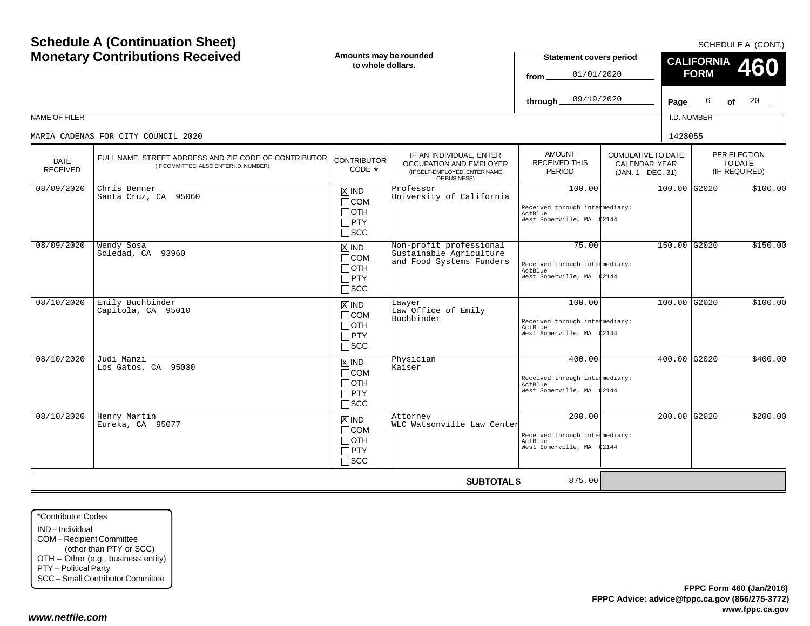| <b>Schedule A (Continuation Sheet)</b><br><b>Monetary Contributions Received</b> |                                                                                                 | Amounts may be rounded<br>to whole dollars.                        |                                                                                                     | <b>Statement covers period</b><br>01/01/2020<br>from                            | SCHEDULE A (CONT.)<br><b>CALIFORNIA</b><br>460<br><b>FORM</b>           |           |                |                                          |
|----------------------------------------------------------------------------------|-------------------------------------------------------------------------------------------------|--------------------------------------------------------------------|-----------------------------------------------------------------------------------------------------|---------------------------------------------------------------------------------|-------------------------------------------------------------------------|-----------|----------------|------------------------------------------|
|                                                                                  |                                                                                                 |                                                                    |                                                                                                     | 09/19/2020<br>through                                                           |                                                                         | Page $\_$ |                | $6$ of $20$                              |
| NAME OF FILER                                                                    |                                                                                                 |                                                                    |                                                                                                     |                                                                                 |                                                                         |           | I.D. NUMBER    |                                          |
|                                                                                  | MARIA CADENAS FOR CITY COUNCIL 2020                                                             |                                                                    |                                                                                                     |                                                                                 |                                                                         | 1428055   |                |                                          |
| <b>DATE</b><br><b>RECEIVED</b>                                                   | FULL NAME, STREET ADDRESS AND ZIP CODE OF CONTRIBUTOR<br>(IF COMMITTEE, ALSO ENTER I.D. NUMBER) | <b>CONTRIBUTOR</b><br>CODE *                                       | IF AN INDIVIDUAL, ENTER<br>OCCUPATION AND EMPLOYER<br>(IF SELF-EMPLOYED, ENTER NAME<br>OF BUSINESS) | <b>AMOUNT</b><br><b>RECEIVED THIS</b><br><b>PERIOD</b>                          | <b>CUMULATIVE TO DATE</b><br><b>CALENDAR YEAR</b><br>(JAN. 1 - DEC. 31) |           |                | PER ELECTION<br>TO DATE<br>(IF REQUIRED) |
| 08/09/2020                                                                       | Chris Benner<br>Santa Cruz, CA 95060                                                            | $X$ IND<br>$\Box$ COM<br>$\Box$ OTH<br>$\Box$ PTY<br>$\Box$ SCC    | Professor<br>University of California                                                               | 100.00<br>Received through intermediary:<br>ActBlue<br>West Somerville, MA      | 02144                                                                   |           | 100.00 G2020   | \$100.00                                 |
| 08/09/2020                                                                       | Wendy Sosa<br>Soledad, CA 93960                                                                 | $X$ IND<br>$\Box$ COM<br>$\Box$ OTH<br>$\Box$ PTY<br>$\square$ SCC | Non-profit professional<br>Sustainable Agriculture<br>and Food Systems Funders                      | 75.00<br>Received through intermediary:<br>ActBlue<br>West Somerville, MA 02144 |                                                                         |           | 150.00 G2020   | \$150.00                                 |
| 08/10/2020                                                                       | Emily Buchbinder<br>Capitola, CA 95010                                                          | $X$ IND<br>$\Box$ COM<br>$\Box$ OTH<br>$\Box$ PTY<br>$\Box$ SCC    | Lawyer<br>Law Office of Emily<br>Buchbinder                                                         | 100.00<br>Received through intermediary:<br>ActBlue<br>West Somerville, MA      | 02144                                                                   |           | 100.00 G2020   | \$100.00                                 |
| 08/10/2020                                                                       | Judi Manzi<br>Los Gatos, CA 95030                                                               | $X$ IND<br>$\Box$ COM<br>$\Box$ OTH<br>$\Box$ PTY<br>$\square$ SCC | Physician<br>Kaiser                                                                                 | 400.00<br>Received through intermediary:<br>ActBlue<br>West Somerville, MA      | 02144                                                                   |           | 400.00 G2020   | \$400.00                                 |
| 08/10/2020                                                                       | Henry Martin<br>Eureka, CA 95077                                                                | $X$ IND<br>$\Box$ COM<br>$\Box$ OTH<br>$\Box$ PTY<br>$\Box$ scc    | Attorney<br>WLC Watsonville Law Center                                                              | 200.00<br>Received through intermediary:<br>ActBlue<br>West Somerville, MA      | 02144                                                                   |           | $200.00$ G2020 | \$200.00                                 |
|                                                                                  |                                                                                                 |                                                                    | <b>SUBTOTAL \$</b>                                                                                  | 875.00                                                                          |                                                                         |           |                |                                          |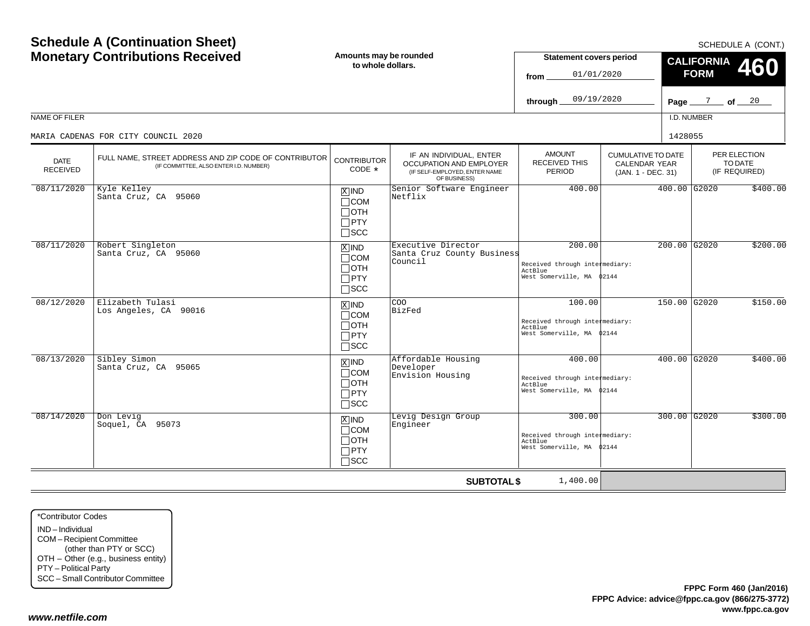| NAME OF FILER                  | <b>Schedule A (Continuation Sheet)</b><br><b>Monetary Contributions Received</b><br>MARIA CADENAS FOR CITY COUNCIL 2020 | Amounts may be rounded<br>to whole dollars.                                   |                                                                                                     | <b>Statement covers period</b><br>01/01/2020<br>from<br>09/19/2020<br>through     |                                                                  | 1428055 | <b>CALIFORNIA</b><br><b>FORM</b><br>Page $\frac{7}{2}$ of $\frac{20}{2}$<br>I.D. NUMBER | SCHEDULE A (CONT.)<br>460                |
|--------------------------------|-------------------------------------------------------------------------------------------------------------------------|-------------------------------------------------------------------------------|-----------------------------------------------------------------------------------------------------|-----------------------------------------------------------------------------------|------------------------------------------------------------------|---------|-----------------------------------------------------------------------------------------|------------------------------------------|
| <b>DATE</b><br><b>RECEIVED</b> | FULL NAME, STREET ADDRESS AND ZIP CODE OF CONTRIBUTOR<br>(IF COMMITTEE, ALSO ENTER I.D. NUMBER)                         | <b>CONTRIBUTOR</b><br>CODE $*$                                                | IF AN INDIVIDUAL, ENTER<br>OCCUPATION AND EMPLOYER<br>(IF SELF-EMPLOYED, ENTER NAME<br>OF BUSINESS) | <b>AMOUNT</b><br><b>RECEIVED THIS</b><br>PERIOD                                   | <b>CUMULATIVE TO DATE</b><br>CALENDAR YEAR<br>(JAN. 1 - DEC. 31) |         |                                                                                         | PER ELECTION<br>TO DATE<br>(IF REQUIRED) |
| 08/11/2020                     | Kyle Kelley<br>Santa Cruz, CA 95060                                                                                     | $\overline{X}$ IND<br>$\Box$ COM<br>$\Box$ OTH<br>$\Box$ PTY<br>$\Box$ scc    | Senior Software Engineer<br>Netflix                                                                 | 400.00                                                                            |                                                                  |         | 400.00 G2020                                                                            | \$400.00                                 |
| 08/11/2020                     | Robert Singleton<br>Santa Cruz, CA 95060                                                                                | $ \overline{x} $ IND<br>$\Box$ COM<br>$\Box$ OTH<br>$\Box$ PTY<br>$\Box$ scc  | Executive Director<br>Santa Cruz County Business<br>Council                                         | 200.00<br>Received through intermediary:<br>ActBlue<br>West Somerville, MA 02144  |                                                                  |         | 200.00 G2020                                                                            | \$200.00                                 |
| 08/12/2020                     | Elizabeth Tulasi<br>Los Angeles, CA 90016                                                                               | $X$ IND<br>$\Box$ COM<br>$\Box$ OTH<br>$\Box$ PTY<br>$\square$ SCC            | COO<br>BizFed                                                                                       | 100.00<br>Received through intermediary:<br>ActBlue<br>West Somerville, MA \$2144 |                                                                  |         | 150.00 G2020                                                                            | \$150.00                                 |
| 08/13/2020                     | Sibley Simon<br>Santa Cruz, CA 95065                                                                                    | $\overline{X}$ IND<br>$\Box$ COM<br>$\Box$ OTH<br>$\Box$ PTY<br>$\square$ SCC | Affordable Housing<br>Developer<br>Envision Housing                                                 | 400.00<br>Received through intermediary:<br>ActBlue<br>West Somerville, MA \$2144 |                                                                  |         | 400.00 G2020                                                                            | \$400.00                                 |
| 08/14/2020                     | Don Levig<br>Soquel, CA 95073                                                                                           | $X$ IND<br>$\Box$ COM<br>$\Box$ OTH<br>$\Box$ PTY<br>$\Box$ scc               | Levig Design Group<br>Engineer                                                                      | 300.00<br>Received through intermediary:<br>ActBlue<br>West Somerville, MA        | 02144                                                            |         | $300.00$ $G2020$                                                                        | \$300.00                                 |
|                                |                                                                                                                         |                                                                               | <b>SUBTOTAL \$</b>                                                                                  | 1,400.00                                                                          |                                                                  |         |                                                                                         |                                          |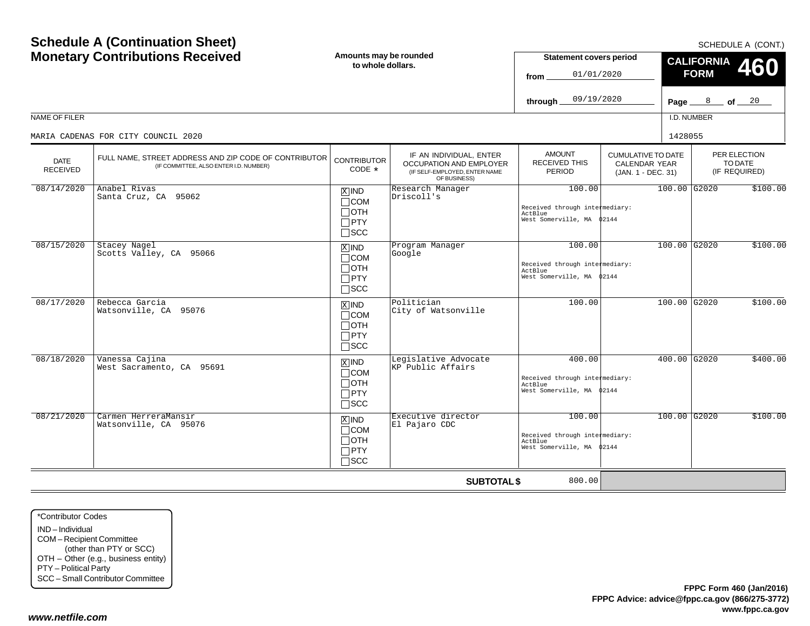| <b>Schedule A (Continuation Sheet)</b><br><b>Monetary Contributions Received</b> |                                                                                                 | Amounts may be rounded<br>to whole dollars.                        |                                                                                                                           | <b>Statement covers period</b><br>01/01/2020<br>from                             |                                                                         | SCHEDULE A (CONT.)<br><b>CALIFORNIA</b><br>460<br><b>FORM</b> |          |                                          |  |
|----------------------------------------------------------------------------------|-------------------------------------------------------------------------------------------------|--------------------------------------------------------------------|---------------------------------------------------------------------------------------------------------------------------|----------------------------------------------------------------------------------|-------------------------------------------------------------------------|---------------------------------------------------------------|----------|------------------------------------------|--|
|                                                                                  |                                                                                                 |                                                                    |                                                                                                                           | 09/19/2020<br>through                                                            |                                                                         |                                                               |          | Page $8$ of $20$                         |  |
| NAME OF FILER                                                                    |                                                                                                 |                                                                    |                                                                                                                           |                                                                                  |                                                                         | I.D. NUMBER                                                   |          |                                          |  |
|                                                                                  | MARIA CADENAS FOR CITY COUNCIL 2020                                                             |                                                                    |                                                                                                                           |                                                                                  |                                                                         | 1428055                                                       |          |                                          |  |
| <b>DATE</b><br><b>RECEIVED</b>                                                   | FULL NAME, STREET ADDRESS AND ZIP CODE OF CONTRIBUTOR<br>(IF COMMITTEE, ALSO ENTER I.D. NUMBER) |                                                                    | IF AN INDIVIDUAL, ENTER<br><b>CONTRIBUTOR</b><br>OCCUPATION AND EMPLOYER<br>(IF SELF-EMPLOYED, ENTER NAME<br>OF BUSINESS) | <b>AMOUNT</b><br><b>RECEIVED THIS</b><br><b>PERIOD</b>                           | <b>CUMULATIVE TO DATE</b><br><b>CALENDAR YEAR</b><br>(JAN. 1 - DEC. 31) |                                                               |          | PER ELECTION<br>TO DATE<br>(IF REQUIRED) |  |
| 08/14/2020                                                                       | Anabel Rivas<br>Santa Cruz, CA 95062                                                            | $X$ IND<br>$\Box$ COM<br>$\Box$ OTH<br>$\Box$ PTY<br>$\Box$ SCC    | Research Manager<br>Driscoll's                                                                                            | 100.00<br>Received through intermediary:<br>ActBlue<br>West Somerville, MA       | 02144                                                                   | 100.00 G2020                                                  | \$100.00 |                                          |  |
| 08/15/2020                                                                       | Stacey Nagel<br>Scotts Valley, CA 95066                                                         | $X$ IND<br>$\Box$ COM<br>$\Box$ OTH<br>$\Box$ PTY<br>$\Box$ scc    | Program Manager<br>Google                                                                                                 | 100.00<br>Received through intermediary:<br>ActBlue<br>West Somerville, MA 02144 |                                                                         | 100.00 G2020                                                  |          | \$100.00                                 |  |
| 08/17/2020                                                                       | Rebecca Garcia<br>Watsonville, CA 95076                                                         | $X$ IND<br>$\Box$ COM<br>$\Box$ OTH<br>$\Box$ PTY<br>$\Box$ SCC    | Politician<br>City of Watsonville                                                                                         | 100.00                                                                           |                                                                         | 100.00 G2020                                                  |          | \$100.00                                 |  |
| 08/18/2020                                                                       | Vanessa Cajina<br>West Sacramento, CA 95691                                                     | $X$ IND<br>$\Box$ COM<br>$\Box$ OTH<br>$\Box$ PTY<br>$\square$ SCC | Legislative Advocate<br>KP Public Affairs                                                                                 | 400.00<br>Received through intermediary:<br>ActBlue<br>West Somerville, MA       | 02144                                                                   | 400.00 G2020                                                  |          | \$400.00                                 |  |
| 08/21/2020                                                                       | Carmen HerreraMansir<br>Watsonville, CA 95076                                                   | $X$ IND<br>$\Box$ COM<br>$\Box$ OTH<br>$\Box$ PTY<br>$\Box$ scc    | Executive director<br>El Pajaro CDC                                                                                       | 100.00<br>Received through intermediary:<br>ActBlue<br>West Somerville, MA       | 02144                                                                   | 100.00 G2020                                                  |          | \$100.00                                 |  |
|                                                                                  |                                                                                                 |                                                                    | <b>SUBTOTAL \$</b>                                                                                                        | 800.00                                                                           |                                                                         |                                                               |          |                                          |  |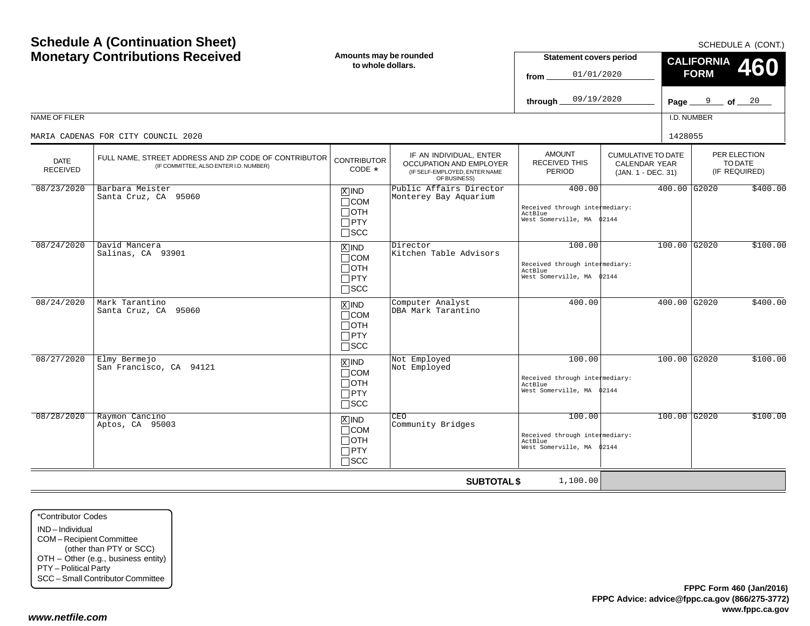| <b>Monetary Contributions Received</b> |                                                                                                 | Amounts may be rounded<br>to whole dollars.                        |                                                                                                            | <b>Statement covers period</b><br>01/01/2020<br>from.                                                                      |  | <b>CALIFORNIA</b><br><b>460</b><br><b>FORM</b> |                                          |  |
|----------------------------------------|-------------------------------------------------------------------------------------------------|--------------------------------------------------------------------|------------------------------------------------------------------------------------------------------------|----------------------------------------------------------------------------------------------------------------------------|--|------------------------------------------------|------------------------------------------|--|
|                                        |                                                                                                 |                                                                    |                                                                                                            | 09/19/2020<br>through,                                                                                                     |  | Page $9$ of $20$                               |                                          |  |
| NAME OF FILER                          |                                                                                                 |                                                                    |                                                                                                            |                                                                                                                            |  | I.D. NUMBER                                    |                                          |  |
|                                        | MARIA CADENAS FOR CITY COUNCIL 2020                                                             |                                                                    |                                                                                                            |                                                                                                                            |  | 1428055                                        |                                          |  |
| <b>DATE</b><br><b>RECEIVED</b>         | FULL NAME, STREET ADDRESS AND ZIP CODE OF CONTRIBUTOR<br>(IF COMMITTEE, ALSO ENTER I.D. NUMBER) | <b>CONTRIBUTOR</b><br>CODE *                                       | IF AN INDIVIDUAL, ENTER<br><b>OCCUPATION AND EMPLOYER</b><br>(IF SELF-EMPLOYED, ENTER NAME<br>OF BUSINESS) | <b>AMOUNT</b><br><b>CUMULATIVE TO DATE</b><br><b>RECEIVED THIS</b><br>CALENDAR YEAR<br><b>PERIOD</b><br>(JAN. 1 - DEC. 31) |  |                                                | PER ELECTION<br>TO DATE<br>(IF REQUIRED) |  |
| 08/23/2020                             | Barbara Meister<br>Santa Cruz, CA 95060                                                         | $X$ IND<br>$\Box$ COM<br>$\Box$ OTH<br>$\square$ PTY<br>$\Box$ scc | Public Affairs Director<br>Monterey Bay Aquarium                                                           | 400.00<br>Received through intermediary:<br>ActBlue<br>West Somerville, MA \$2144                                          |  | 400.00 G2020                                   | \$400.00                                 |  |
| 08/24/2020                             | David Mancera<br>Salinas, CA 93901                                                              | $X$ IND<br>$\Box$ COM<br>$\Box$ OTH<br>$\Box$ PTY<br>$\square$ SCC | Director<br>Kitchen Table Advisors                                                                         | 100.00<br>Received through intermediary:<br>ActBlue<br>West Somerville, MA \$2144                                          |  | $100.00$ G2020                                 | \$100.00                                 |  |
| 08/24/2020                             | Mark Tarantino<br>Santa Cruz, CA 95060                                                          | $X$ IND<br>$\Box$ COM<br>$\Box$ OTH<br>$\Box$ PTY<br>$\Box$ scc    | Computer Analyst<br>DBA Mark Tarantino                                                                     | 400.00                                                                                                                     |  | 400.00 G2020                                   | \$400.00                                 |  |
| 08/27/2020                             | Elmy Bermejo<br>San Francisco, CA 94121                                                         | $X$ IND<br>$\Box$ COM<br>$\Box$ OTH<br>$\Box$ PTY<br>$\square$ SCC | Not Employed<br>Not Employed                                                                               | 100.00<br>Received through intermediary:<br>ActBlue<br>West Somerville, MA \$2144                                          |  | $100.00$ G2020                                 | \$100.00                                 |  |
| 08/28/2020                             | Raymon Cancino<br>Aptos, CA 95003                                                               | $X$ IND<br>$\Box$ COM<br>$\Box$ oth<br>$\Box$ PTY<br>$\square$ SCC | CEO<br>Community Bridges                                                                                   | 100.00<br>Received through intermediary:<br>ActBlue<br>West Somerville, MA \$2144                                          |  | $100.00$ G2020                                 | \$100.00                                 |  |
|                                        |                                                                                                 |                                                                    | <b>SUBTOTAL \$</b>                                                                                         | 1,100.00                                                                                                                   |  |                                                |                                          |  |

\*Contributor CodesIND – IndividualCOM – Recipient Committee (other than PTY or SCC) OTH – Other (e.g., business entity) PTY – Political Party SCC – Small Contributor Committee

**Schedule A (Continuation Sheet)**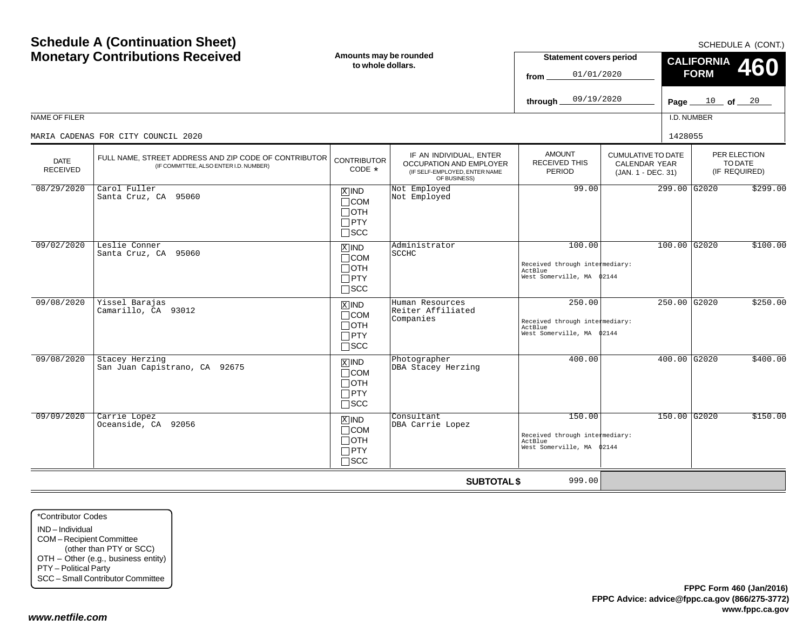|                                | <b>Schedule A (Continuation Sheet)</b>                                                          |                                                                    |                                                                                                     |                                                                                  | SCHEDULE A (CONT.)                                                      |                                         |              |                                          |
|--------------------------------|-------------------------------------------------------------------------------------------------|--------------------------------------------------------------------|-----------------------------------------------------------------------------------------------------|----------------------------------------------------------------------------------|-------------------------------------------------------------------------|-----------------------------------------|--------------|------------------------------------------|
|                                | <b>Monetary Contributions Received</b>                                                          |                                                                    | Amounts may be rounded<br>to whole dollars.                                                         | <b>Statement covers period</b><br>01/01/2020<br>from                             |                                                                         | <b>CALIFORNIA</b><br>460<br><b>FORM</b> |              |                                          |
|                                |                                                                                                 |                                                                    |                                                                                                     | 09/19/2020<br>through                                                            |                                                                         | Page $\_\$                              | $10$ of $20$ |                                          |
| NAME OF FILER                  |                                                                                                 |                                                                    |                                                                                                     |                                                                                  |                                                                         |                                         | I.D. NUMBER  |                                          |
|                                | MARIA CADENAS FOR CITY COUNCIL 2020                                                             |                                                                    |                                                                                                     |                                                                                  |                                                                         | 1428055                                 |              |                                          |
| <b>DATE</b><br><b>RECEIVED</b> | FULL NAME, STREET ADDRESS AND ZIP CODE OF CONTRIBUTOR<br>(IF COMMITTEE, ALSO ENTER I.D. NUMBER) | <b>CONTRIBUTOR</b><br>CODE *                                       | IF AN INDIVIDUAL, ENTER<br>OCCUPATION AND EMPLOYER<br>(IF SELF-EMPLOYED, ENTER NAME<br>OF BUSINESS) | <b>AMOUNT</b><br>RECEIVED THIS<br>PERIOD                                         | <b>CUMULATIVE TO DATE</b><br><b>CALENDAR YEAR</b><br>(JAN. 1 - DEC. 31) |                                         |              | PER ELECTION<br>TO DATE<br>(IF REQUIRED) |
| 08/29/2020                     | Carol Fuller<br>Santa Cruz, CA 95060                                                            | $X$ IND<br>$\Box$ COM<br>$\Box$ OTH<br>$\Box$ PTY<br>$\Box$ scc    | Not Employed<br>Not Employed                                                                        | 99.00                                                                            | 299.00 G2020                                                            |                                         |              | \$299.00                                 |
| 09/02/2020                     | Leslie Conner<br>Santa Cruz, CA 95060                                                           | $X$ IND<br>$\Box$ COM<br>$\Box$ OTH<br>$\Box$ PTY<br>$\square$ scc | Administrator<br><b>SCCHC</b>                                                                       | 100.00<br>Received through intermediary:<br>ActBlue<br>West Somerville, MA 02144 |                                                                         | $100.00$ G2020                          |              | \$100.00                                 |
| 09/08/2020                     | Yissel Barajas<br>Camarillo, CA 93012                                                           | $X$ IND<br>$\Box$ COM<br>Потн<br>$\Box$ PTY<br>$\square$ SCC       | Human Resources<br>Reiter Affiliated<br>Companies                                                   | 250.00<br>Received through intermediary:<br>ActBlue<br>West Somerville, MA       | 02144                                                                   | 250.00 G2020                            |              | \$250.00                                 |
| 09/08/2020                     | Stacey Herzing<br>San Juan Capistrano, CA 92675                                                 | $X$ IND<br>$\Box$ COM<br>$\Box$ OTH<br>$\Box$ PTY<br>$\square$ scc | Photographer<br>DBA Stacey Herzing                                                                  | 400.00                                                                           |                                                                         | 400.00 G2020                            |              | \$400.00                                 |
| 09/09/2020                     | Carrie Lopez<br>Oceanside, CA 92056                                                             | $X$ IND<br>$\Box$ COM<br>$\Box$ OTH<br>$\Box$ PTY<br>$\square$ scc | Consultant<br>DBA Carrie Lopez                                                                      | 150.00<br>Received through intermediary:<br>ActBlue<br>West Somerville, MA       | 02144                                                                   | 150.00 G2020                            |              | \$150.00                                 |
|                                |                                                                                                 |                                                                    | <b>SUBTOTAL \$</b>                                                                                  | 999.00                                                                           |                                                                         |                                         |              |                                          |

\*Contributor CodesIND – Individual COM – Recipient Committee (other than PTY or SCC) OTH – Other (e.g., business entity) PTY – Political Party SCC – Small Contributor Committee

**Schedule A (Continuation Sheet)**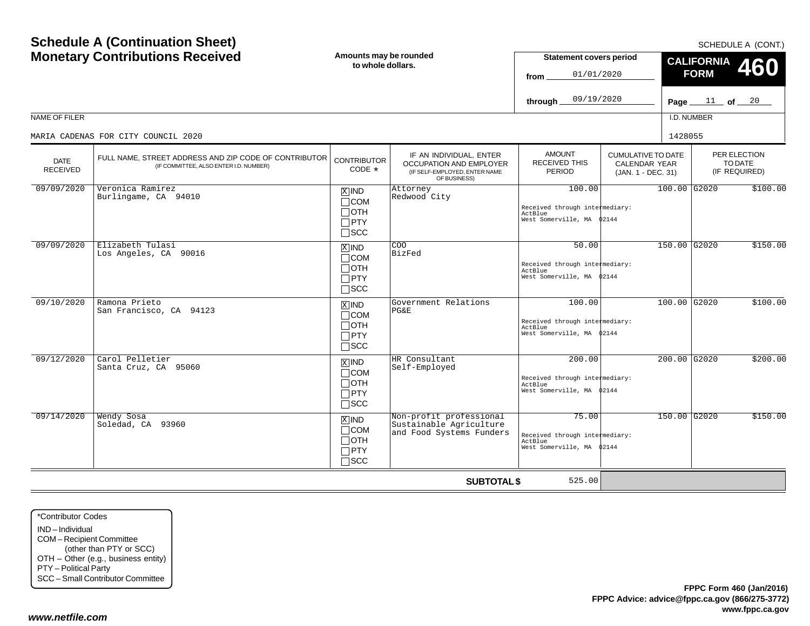| <b>Schedule A (Continuation Sheet)</b><br><b>Monetary Contributions Received</b> |                                                                                                 | Amounts may be rounded<br>to whole dollars.                         |                                                                                                     | <b>Statement covers period</b><br>01/01/2020<br>from<br>09/19/2020<br>through     |                                                                         | SCHEDULE A (CONT.)<br><b>CALIFORNIA</b><br>460<br><b>FORM</b><br>Page $11$ of $20$ |                |                                          |
|----------------------------------------------------------------------------------|-------------------------------------------------------------------------------------------------|---------------------------------------------------------------------|-----------------------------------------------------------------------------------------------------|-----------------------------------------------------------------------------------|-------------------------------------------------------------------------|------------------------------------------------------------------------------------|----------------|------------------------------------------|
| NAME OF FILER                                                                    | MARIA CADENAS FOR CITY COUNCIL 2020                                                             |                                                                     |                                                                                                     |                                                                                   |                                                                         | 1428055                                                                            | I.D. NUMBER    |                                          |
| <b>DATE</b><br><b>RECEIVED</b>                                                   | FULL NAME, STREET ADDRESS AND ZIP CODE OF CONTRIBUTOR<br>(IF COMMITTEE, ALSO ENTER I.D. NUMBER) | <b>CONTRIBUTOR</b><br>CODE $*$                                      | IF AN INDIVIDUAL, ENTER<br>OCCUPATION AND EMPLOYER<br>(IF SELF-EMPLOYED, ENTER NAME<br>OF BUSINESS) | <b>AMOUNT</b><br><b>RECEIVED THIS</b><br><b>PERIOD</b>                            | <b>CUMULATIVE TO DATE</b><br><b>CALENDAR YEAR</b><br>(JAN. 1 - DEC. 31) |                                                                                    |                | PER ELECTION<br>TO DATE<br>(IF REQUIRED) |
| 09/09/2020                                                                       | Veronica Ramirez<br>Burlingame, CA 94010                                                        | $X$ IND<br>$\Box$ COM<br>$\sqcap$ OTH<br>$\Box$ PTY<br>$\sqcap$ scc | Attorney<br>Redwood City                                                                            | 100.00<br>Received through intermediary:<br>ActBlue<br>West Somerville, MA        | 02144                                                                   |                                                                                    | 100.00 G2020   | \$100.00                                 |
| 09/09/2020                                                                       | Elizabeth Tulasi<br>Los Angeles, CA 90016                                                       | $X$ IND<br>$\Box$ COM<br>∏ОТН<br>$\Box$ PTY<br>$\square$ scc        | <b>COO</b><br>BizFed                                                                                | 50.00<br>Received through intermediary:<br>ActBlue<br>West Somerville, MA 02144   |                                                                         |                                                                                    | 150.00 G2020   | \$150.00                                 |
| 09/10/2020                                                                       | Ramona Prieto<br>San Francisco, CA 94123                                                        | $X$ IND<br>$\Box$ COM<br>$\Box$ OTH<br>$\Box$ PTY<br>$\sqcap$ scc   | Government Relations<br>PG&E                                                                        | 100.00<br>Received through intermediary:<br>ActBlue<br>West Somerville, MA \$2144 |                                                                         |                                                                                    | 100.00 G2020   | \$100.00                                 |
| 09/12/2020                                                                       | Carol Pelletier<br>Santa Cruz, CA 95060                                                         | $X$ IND<br>$\Box$ COM<br>$\Box$ OTH<br>$\Box$ PTY<br>$\square$ scc  | HR Consultant<br>Self-Employed                                                                      | 200.00<br>Received through intermediary:<br>ActBlue<br>West Somerville, MA 02144  |                                                                         |                                                                                    | $200.00$ G2020 | \$200.00                                 |
| 09/14/2020                                                                       | Wendy Sosa<br>Soledad, CA 93960                                                                 | $X$ IND<br>$\Box$ COM<br>$\Box$ oth<br>$\Box$ PTY<br>$\sqcap$ scc   | Non-profit professional<br>Sustainable Agriculture<br>and Food Systems Funders                      | 75.00<br>Received through intermediary:<br>ActBlue<br>West Somerville, MA \$2144  |                                                                         |                                                                                    | 150.00 G2020   | \$150.00                                 |
|                                                                                  |                                                                                                 |                                                                     | <b>SUBTOTAL \$</b>                                                                                  | 525.00                                                                            |                                                                         |                                                                                    |                |                                          |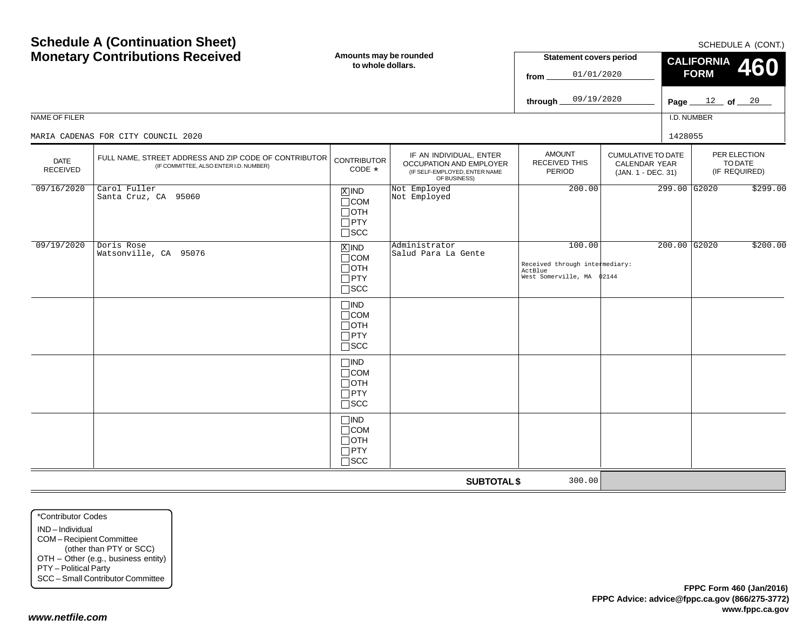| <b>Monetary Contributions Received</b> |                                                                                                 | Amounts may be rounded<br>to whole dollars.                                   |                                                                                                     | <b>Statement covers period</b><br>01/01/2020<br>from                              | <b>CALIFORNIA</b><br><b>460</b><br><b>FORM</b>                   |                   |                                          |          |
|----------------------------------------|-------------------------------------------------------------------------------------------------|-------------------------------------------------------------------------------|-----------------------------------------------------------------------------------------------------|-----------------------------------------------------------------------------------|------------------------------------------------------------------|-------------------|------------------------------------------|----------|
|                                        |                                                                                                 |                                                                               |                                                                                                     | 09/19/2020<br>through $\overline{\phantom{a}}$                                    |                                                                  | Page $12$ of $20$ |                                          |          |
| NAME OF FILER                          |                                                                                                 |                                                                               |                                                                                                     |                                                                                   |                                                                  | I.D. NUMBER       |                                          |          |
|                                        | MARIA CADENAS FOR CITY COUNCIL 2020                                                             |                                                                               |                                                                                                     |                                                                                   |                                                                  | 1428055           |                                          |          |
| <b>DATE</b><br><b>RECEIVED</b>         | FULL NAME, STREET ADDRESS AND ZIP CODE OF CONTRIBUTOR<br>(IF COMMITTEE, ALSO ENTER I.D. NUMBER) | <b>CONTRIBUTOR</b><br>CODE *                                                  | IF AN INDIVIDUAL, ENTER<br>OCCUPATION AND EMPLOYER<br>(IF SELF-EMPLOYED, ENTER NAME<br>OF BUSINESS) | <b>AMOUNT</b><br>RECEIVED THIS<br>PERIOD                                          | <b>CUMULATIVE TO DATE</b><br>CALENDAR YEAR<br>(JAN. 1 - DEC. 31) |                   | PER ELECTION<br>TO DATE<br>(IF REQUIRED) |          |
| 09/16/2020                             | Carol Fuller<br>Santa Cruz, CA 95060                                                            | $X$ IND<br>$\Box$ COM<br>$\Box$ oth<br>$\Box$ PTY<br>$\Box$ scc               | Not Employed<br>Not Employed                                                                        | 200.00                                                                            |                                                                  | 299.00 G2020      |                                          | \$299.00 |
| 09/19/2020                             | Doris Rose<br>Watsonville, CA 95076                                                             | $\overline{X}$ IND<br>$\Box$ COM<br>$\Box$ oth<br>$\Box$ PTY<br>$\square$ SCC | Administrator<br>Salud Para La Gente                                                                | 100.00<br>Received through intermediary:<br>ActBlue<br>West Somerville, MA \$2144 |                                                                  | $200.00$ G2020    |                                          | \$200.00 |
|                                        |                                                                                                 | $\Box$ IND<br>$\Box$ COM<br>$\Box$ OTH<br>$\Box$ PTY<br>$\square$ SCC         |                                                                                                     |                                                                                   |                                                                  |                   |                                          |          |
|                                        |                                                                                                 | $\Box$ IND<br>$\Box$ COM<br>$\Box$ OTH<br>$\Box$ PTY<br>$\Box$ SCC            |                                                                                                     |                                                                                   |                                                                  |                   |                                          |          |
|                                        |                                                                                                 | $\Box$ IND<br>$\Box$ COM<br>$\Box$ OTH<br>$\Box$ PTY<br>$\square$ SCC         |                                                                                                     |                                                                                   |                                                                  |                   |                                          |          |
|                                        |                                                                                                 |                                                                               | <b>SUBTOTAL \$</b>                                                                                  | 300.00                                                                            |                                                                  |                   |                                          |          |

**Schedule A (Continuation Sheet)**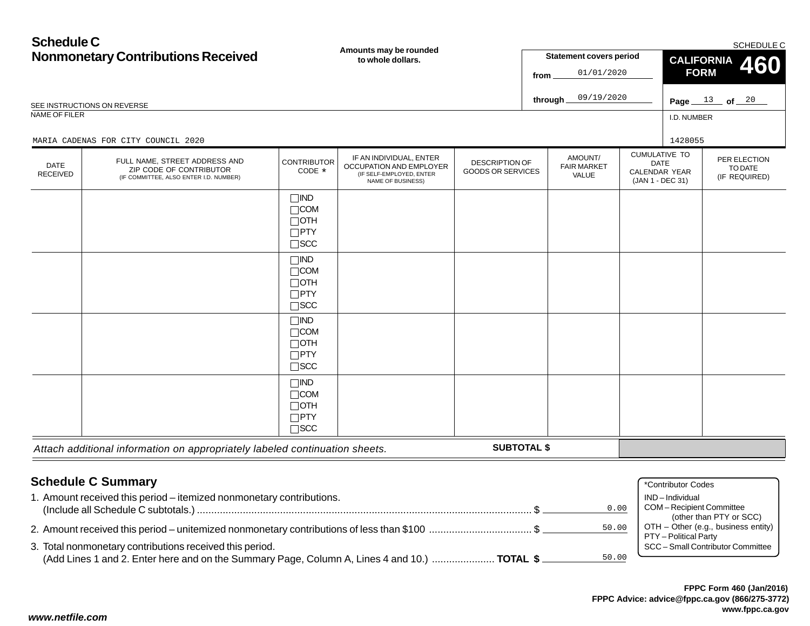## **Schedule CNonmonetary Contributions Received**

| <b>Ported the complete</b><br><b>Nonmonetary Contributions Received</b>                     |                                                                                                    | Amounts may be rounded<br>to whole dollars.                           |                                                                                                     |                                                   | <b>Statement covers period</b> |                                        |       | <b>SCHEDULE C</b><br><b>CALIFORNIA</b><br><b>460</b>                            |                                          |  |
|---------------------------------------------------------------------------------------------|----------------------------------------------------------------------------------------------------|-----------------------------------------------------------------------|-----------------------------------------------------------------------------------------------------|---------------------------------------------------|--------------------------------|----------------------------------------|-------|---------------------------------------------------------------------------------|------------------------------------------|--|
|                                                                                             |                                                                                                    |                                                                       |                                                                                                     |                                                   | 01/01/2020<br>from             |                                        |       | <b>FORM</b>                                                                     |                                          |  |
| SEE INSTRUCTIONS ON REVERSE                                                                 |                                                                                                    |                                                                       |                                                                                                     |                                                   |                                | 09/19/2020<br>through                  |       |                                                                                 | Page $13$ of $20$                        |  |
| NAME OF FILER                                                                               |                                                                                                    |                                                                       |                                                                                                     |                                                   |                                |                                        |       | I.D. NUMBER                                                                     |                                          |  |
|                                                                                             | MARIA CADENAS FOR CITY COUNCIL 2020                                                                |                                                                       |                                                                                                     |                                                   |                                |                                        |       | 1428055                                                                         |                                          |  |
| DATE<br><b>RECEIVED</b>                                                                     | FULL NAME, STREET ADDRESS AND<br>ZIP CODE OF CONTRIBUTOR<br>(IF COMMITTEE, ALSO ENTER I.D. NUMBER) | <b>CONTRIBUTOR</b><br>CODE *                                          | IF AN INDIVIDUAL, ENTER<br>OCCUPATION AND EMPLOYER<br>(IF SELF-EMPLOYED, ENTER<br>NAME OF BUSINESS) | <b>DESCRIPTION OF</b><br><b>GOODS OR SERVICES</b> |                                | AMOUNT/<br><b>FAIR MARKET</b><br>VALUE |       | <b>CUMULATIVE TO</b><br><b>DATE</b><br><b>CALENDAR YEAR</b><br>(JAN 1 - DEC 31) | PER ELECTION<br>TO DATE<br>(IF REQUIRED) |  |
|                                                                                             |                                                                                                    | $\Box$ IND<br>$\Box$ COM<br>$\Box$ OTH<br>$\Box$ PTY<br>$\square$ SCC |                                                                                                     |                                                   |                                |                                        |       |                                                                                 |                                          |  |
|                                                                                             |                                                                                                    | $\Box$ IND<br>$\Box$ COM<br>$\Box$ OTH<br>$\Box$ PTY<br>$\Box$ scc    |                                                                                                     |                                                   |                                |                                        |       |                                                                                 |                                          |  |
|                                                                                             |                                                                                                    | $\Box$ IND<br>$\Box$ COM<br>$\Box$ OTH<br>$\Box$ PTY<br>$\square$ SCC |                                                                                                     |                                                   |                                |                                        |       |                                                                                 |                                          |  |
|                                                                                             |                                                                                                    | $\Box$ IND<br>$\Box$ COM<br>$\Box$ OTH<br>$\Box$ PTY<br>$\Box$ scc    |                                                                                                     |                                                   |                                |                                        |       |                                                                                 |                                          |  |
|                                                                                             | Attach additional information on appropriately labeled continuation sheets.                        |                                                                       |                                                                                                     | <b>SUBTOTAL \$</b>                                |                                |                                        |       |                                                                                 |                                          |  |
|                                                                                             |                                                                                                    |                                                                       |                                                                                                     |                                                   |                                |                                        |       |                                                                                 |                                          |  |
|                                                                                             | <b>Schedule C Summary</b><br>1. Amount received this period - itemized nonmonetary contributions.  |                                                                       |                                                                                                     |                                                   |                                | 0.00                                   |       | *Contributor Codes<br>IND-Individual<br>COM-Recipient Committee                 |                                          |  |
| 2. Amount received this period – unitemized nonmonetary contributions of less than \$100 \$ |                                                                                                    |                                                                       |                                                                                                     |                                                   |                                |                                        | 50.00 | (other than PTY or SCC)<br>OTH - Other (e.g., business entity)                  |                                          |  |
|                                                                                             | 3. Total nonmonetary contributions received this period.                                           |                                                                       |                                                                                                     |                                                   |                                |                                        |       | PTY - Political Party                                                           | SCC - Small Contributor Committee        |  |

(Add Lines 1 and 2. Enter here and on the Summary Page, Column A, Lines 4 and 10.) ...................... **TOTAL \$**

50.00

*www.netfile.com*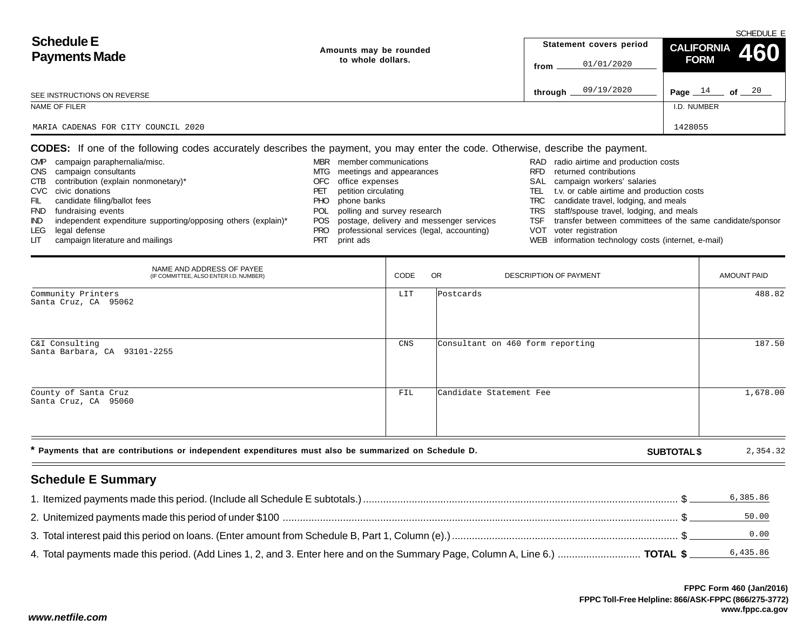| <b>Schedule E</b>                   | Amounts may be rounded | Statement covers period | SCHEDULE E                                                                            |
|-------------------------------------|------------------------|-------------------------|---------------------------------------------------------------------------------------|
| <b>Payments Made</b>                | to whole dollars.      | 01/01/2020<br>from      | $\left  \begin{array}{cc} \text{CALIFORNIA} & 460 \end{array} \right $<br><b>FORM</b> |
| SEE INSTRUCTIONS ON REVERSE         |                        | 09/19/2020<br>through _ | of $\_\,\_20$<br>Page $14$                                                            |
| NAME OF FILER                       |                        |                         | I.D. NUMBER                                                                           |
| MARIA CADENAS FOR CITY COUNCIL 2020 |                        |                         | 1428055                                                                               |

**CODES:** If one of the following codes accurately describes the payment, you may enter the code. Otherwise, describe the payment.

| <b>CMP</b> | campaign paraphernalia/misc.                                  | <b>MBR</b> | member communications                     |      | RAD radio airtime and production costs                    |
|------------|---------------------------------------------------------------|------------|-------------------------------------------|------|-----------------------------------------------------------|
|            | CNS campaign consultants                                      | MTG.       | meetings and appearances                  | RFD. | returned contributions                                    |
|            | CTB contribution (explain nonmonetary)*                       | OFC        | office expenses                           |      | SAL campaign workers' salaries                            |
|            | CVC civic donations                                           | PET        | petition circulating                      | TEL  | t.v. or cable airtime and production costs                |
| FIL        | candidate filing/ballot fees                                  | PHO        | phone banks                               | TRC  | candidate travel, lodging, and meals                      |
|            | FND fundraising events                                        | POL        | polling and survey research               |      | TRS staff/spouse travel, lodging, and meals               |
| IND.       | independent expenditure supporting/opposing others (explain)* | POS        | postage, delivery and messenger services  | TSF  | transfer between committees of the same candidate/sponsor |
|            | LEG legal defense                                             | PRO.       | professional services (legal, accounting) |      | VOT voter registration                                    |
| LП         | campaign literature and mailings                              | PRT        | print ads                                 |      | WEB information technology costs (internet, e-mail)       |

| NAME AND ADDRESS OF PAYEE<br>(IF COMMITTEE, ALSO ENTER I.D. NUMBER)                                  | CODE | OR.<br><b>DESCRIPTION OF PAYMENT</b> |                    | <b>AMOUNT PAID</b> |
|------------------------------------------------------------------------------------------------------|------|--------------------------------------|--------------------|--------------------|
| Community Printers<br>Santa Cruz, CA 95062                                                           | LIT  | Postcards                            |                    | 488.82             |
| C&I Consulting<br>Santa Barbara, CA 93101-2255                                                       | CNS  | Consultant on 460 form reporting     |                    | 187.50             |
| County of Santa Cruz<br>Santa Cruz, CA 95060                                                         | FIL  | Candidate Statement Fee              |                    | 1,678.00           |
| * Payments that are contributions or independent expenditures must also be summarized on Schedule D. |      |                                      | <b>SUBTOTAL \$</b> | 2,354.32           |

## **Schedule E Summary**

|                                                                                                                              | 6,385.86 |
|------------------------------------------------------------------------------------------------------------------------------|----------|
|                                                                                                                              | 50.00    |
|                                                                                                                              | 0.00     |
| 4. Total payments made this period. (Add Lines 1, 2, and 3. Enter here and on the Summary Page, Column A, Line 6.)  TOTAL \$ | 6,435.86 |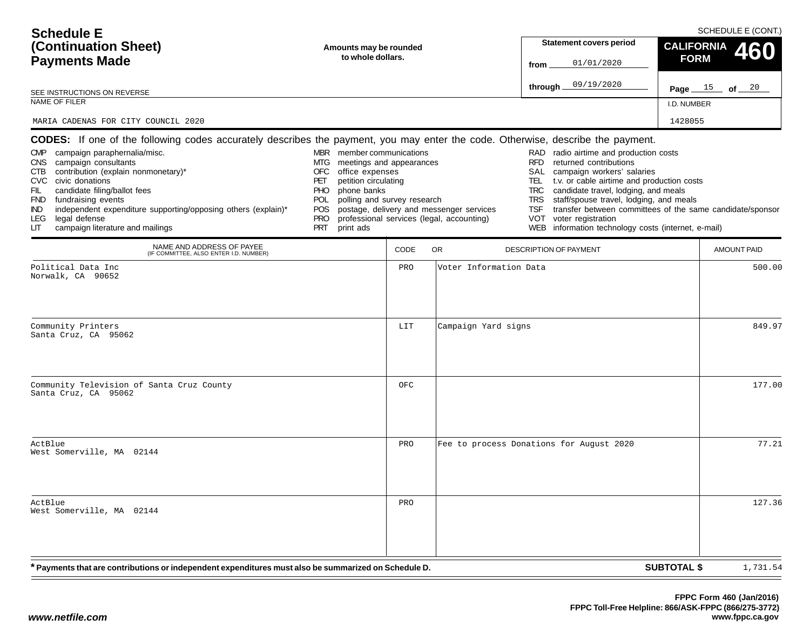| <b>Schedule E</b><br>(Continuation Sheet)<br><b>Payments Made</b><br>SEE INSTRUCTIONS ON REVERSE<br>NAME OF FILER<br>MARIA CADENAS FOR CITY COUNCIL 2020                                                                                                                                                                                                                                                                                                                                                          | Amounts may be rounded<br>to whole dollars.                                                                                                                                                                                                             |            |                                                                                       | <b>Statement covers period</b><br>01/01/2020<br>from<br>09/19/2020<br>through.                                                                                                                                                                                                                                                                                        | SCHEDULE E (CONT.)<br><b>CALIFORNIA</b><br>460<br><b>FORM</b><br>Page $15$ of $20$<br>I.D. NUMBER<br>1428055 |                  |
|-------------------------------------------------------------------------------------------------------------------------------------------------------------------------------------------------------------------------------------------------------------------------------------------------------------------------------------------------------------------------------------------------------------------------------------------------------------------------------------------------------------------|---------------------------------------------------------------------------------------------------------------------------------------------------------------------------------------------------------------------------------------------------------|------------|---------------------------------------------------------------------------------------|-----------------------------------------------------------------------------------------------------------------------------------------------------------------------------------------------------------------------------------------------------------------------------------------------------------------------------------------------------------------------|--------------------------------------------------------------------------------------------------------------|------------------|
| <b>CODES:</b> If one of the following codes accurately describes the payment, you may enter the code. Otherwise, describe the payment.<br>campaign paraphernalia/misc.<br>CMP<br>campaign consultants<br>CNS<br>contribution (explain nonmonetary)*<br>CTB<br>civic donations<br><b>CVC</b><br>candidate filing/ballot fees<br>FIL<br>fundraising events<br><b>FND</b><br>independent expenditure supporting/opposing others (explain)*<br>IND<br>legal defense<br>LEG<br>LIТ<br>campaign literature and mailings | MBR member communications<br>MTG.<br>meetings and appearances<br>office expenses<br>OFC<br>petition circulating<br>PET<br>phone banks<br><b>PHO</b><br>polling and survey research<br><b>POL</b><br><b>POS</b><br><b>PRO</b><br><b>PRT</b><br>print ads |            | postage, delivery and messenger services<br>professional services (legal, accounting) | RAD radio airtime and production costs<br><b>RFD</b><br>returned contributions<br>campaign workers' salaries<br>SAL<br>t.v. or cable airtime and production costs<br>TEL.<br>TRC<br>candidate travel, lodging, and meals<br>staff/spouse travel, lodging, and meals<br>TRS<br>TSF<br>voter registration<br>VOT<br>WEB information technology costs (internet, e-mail) | transfer between committees of the same candidate/sponsor                                                    |                  |
| NAME AND ADDRESS OF PAYEE<br>(IF COMMITTEE, ALSO ENTER I.D. NUMBER)                                                                                                                                                                                                                                                                                                                                                                                                                                               |                                                                                                                                                                                                                                                         | CODE       | OR.                                                                                   | DESCRIPTION OF PAYMENT                                                                                                                                                                                                                                                                                                                                                | <b>AMOUNT PAID</b>                                                                                           |                  |
| Political Data Inc<br>Norwalk, CA 90652<br>Community Printers<br>Santa Cruz, CA 95062                                                                                                                                                                                                                                                                                                                                                                                                                             |                                                                                                                                                                                                                                                         | PRO<br>LIT | Voter Information Data<br>Campaign Yard signs                                         |                                                                                                                                                                                                                                                                                                                                                                       |                                                                                                              | 500.00<br>849.97 |
| Community Television of Santa Cruz County<br>Santa Cruz, CA 95062                                                                                                                                                                                                                                                                                                                                                                                                                                                 |                                                                                                                                                                                                                                                         | OFC        |                                                                                       |                                                                                                                                                                                                                                                                                                                                                                       |                                                                                                              | 177.00           |
| ActBlue<br>West Somerville, MA 02144                                                                                                                                                                                                                                                                                                                                                                                                                                                                              |                                                                                                                                                                                                                                                         | PRO        |                                                                                       | Fee to process Donations for August 2020                                                                                                                                                                                                                                                                                                                              |                                                                                                              | 77.21            |
| ActBlue<br>West Somerville, MA 02144                                                                                                                                                                                                                                                                                                                                                                                                                                                                              |                                                                                                                                                                                                                                                         | PRO        |                                                                                       |                                                                                                                                                                                                                                                                                                                                                                       |                                                                                                              | 127.36           |
| * Payments that are contributions or independent expenditures must also be summarized on Schedule D.                                                                                                                                                                                                                                                                                                                                                                                                              |                                                                                                                                                                                                                                                         |            |                                                                                       |                                                                                                                                                                                                                                                                                                                                                                       | <b>SUBTOTAL \$</b><br>1,731.54                                                                               |                  |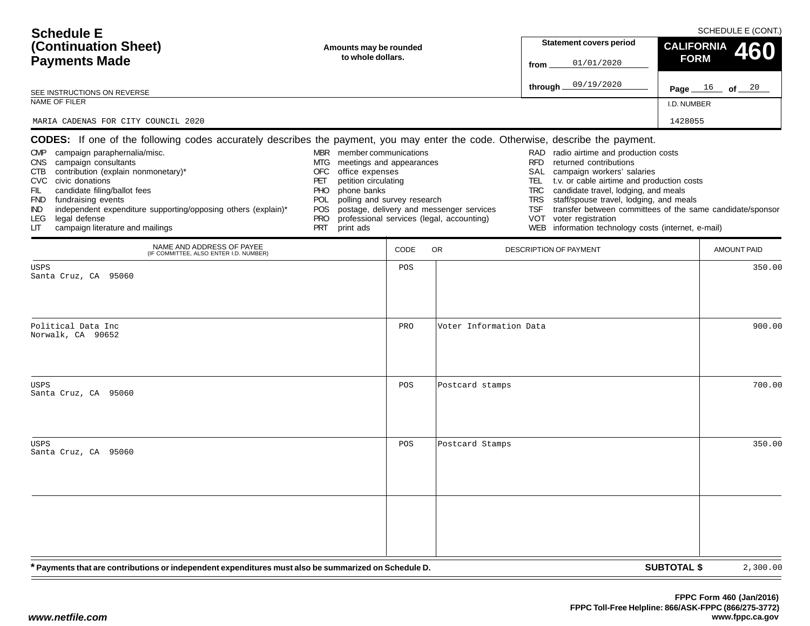| <b>Schedule E</b>                                                                                                                                                                                                                                                                                                                                                                                                                                                                                            |                                                                                                                                                                                                                                            |      |                                                                                       | SCHEDULE E (CONT.)                                                                                                                                                                                                                                                                                                                                                                     |                                                           |  |  |  |  |
|--------------------------------------------------------------------------------------------------------------------------------------------------------------------------------------------------------------------------------------------------------------------------------------------------------------------------------------------------------------------------------------------------------------------------------------------------------------------------------------------------------------|--------------------------------------------------------------------------------------------------------------------------------------------------------------------------------------------------------------------------------------------|------|---------------------------------------------------------------------------------------|----------------------------------------------------------------------------------------------------------------------------------------------------------------------------------------------------------------------------------------------------------------------------------------------------------------------------------------------------------------------------------------|-----------------------------------------------------------|--|--|--|--|
| (Continuation Sheet)                                                                                                                                                                                                                                                                                                                                                                                                                                                                                         | Amounts may be rounded                                                                                                                                                                                                                     |      |                                                                                       | <b>Statement covers period</b>                                                                                                                                                                                                                                                                                                                                                         | <b>CALIFORNIA</b><br>60                                   |  |  |  |  |
| <b>Payments Made</b>                                                                                                                                                                                                                                                                                                                                                                                                                                                                                         | to whole dollars.                                                                                                                                                                                                                          |      |                                                                                       | 01/01/2020<br>from                                                                                                                                                                                                                                                                                                                                                                     | <b>FORM</b>                                               |  |  |  |  |
| SEE INSTRUCTIONS ON REVERSE                                                                                                                                                                                                                                                                                                                                                                                                                                                                                  |                                                                                                                                                                                                                                            |      |                                                                                       | 09/19/2020<br>through                                                                                                                                                                                                                                                                                                                                                                  | $\frac{16}{ }$ of 20<br>Page _                            |  |  |  |  |
| NAME OF FILER                                                                                                                                                                                                                                                                                                                                                                                                                                                                                                |                                                                                                                                                                                                                                            |      |                                                                                       |                                                                                                                                                                                                                                                                                                                                                                                        | I.D. NUMBER                                               |  |  |  |  |
| MARIA CADENAS FOR CITY COUNCIL 2020                                                                                                                                                                                                                                                                                                                                                                                                                                                                          |                                                                                                                                                                                                                                            |      |                                                                                       |                                                                                                                                                                                                                                                                                                                                                                                        | 1428055                                                   |  |  |  |  |
| <b>CODES:</b> If one of the following codes accurately describes the payment, you may enter the code. Otherwise, describe the payment.<br>CMP campaign paraphernalia/misc.<br>campaign consultants<br>CNS<br>contribution (explain nonmonetary)*<br>CTB<br>CVC civic donations<br>candidate filing/ballot fees<br>FIL.<br>fundraising events<br><b>FND</b><br>independent expenditure supporting/opposing others (explain)*<br><b>IND</b><br>legal defense<br>LEG.<br>campaign literature and mailings<br>LГ | MBR member communications<br>MTG<br>meetings and appearances<br><b>OFC</b><br>office expenses<br>petition circulating<br>PET<br>phone banks<br>PHO<br>polling and survey research<br>POL.<br>POS.<br><b>PRO</b><br><b>PRT</b><br>print ads |      | postage, delivery and messenger services<br>professional services (legal, accounting) | RAD radio airtime and production costs<br>returned contributions<br><b>RFD</b><br>SAL<br>campaign workers' salaries<br>t.v. or cable airtime and production costs<br>TEL.<br>candidate travel, lodging, and meals<br>TRC<br>staff/spouse travel, lodging, and meals<br><b>TRS</b><br>TSF<br><b>VOT</b><br>voter registration<br>information technology costs (internet, e-mail)<br>WEB | transfer between committees of the same candidate/sponsor |  |  |  |  |
| NAME AND ADDRESS OF PAYEE<br>(IF COMMITTEE, ALSO ENTER I.D. NUMBER)                                                                                                                                                                                                                                                                                                                                                                                                                                          |                                                                                                                                                                                                                                            | CODE | <b>OR</b>                                                                             | <b>DESCRIPTION OF PAYMENT</b>                                                                                                                                                                                                                                                                                                                                                          | <b>AMOUNT PAID</b>                                        |  |  |  |  |
| <b>USPS</b><br>Santa Cruz, CA 95060                                                                                                                                                                                                                                                                                                                                                                                                                                                                          |                                                                                                                                                                                                                                            | POS  |                                                                                       |                                                                                                                                                                                                                                                                                                                                                                                        | 350.00                                                    |  |  |  |  |
|                                                                                                                                                                                                                                                                                                                                                                                                                                                                                                              |                                                                                                                                                                                                                                            |      |                                                                                       |                                                                                                                                                                                                                                                                                                                                                                                        |                                                           |  |  |  |  |
| Political Data Inc<br>Norwalk, CA 90652                                                                                                                                                                                                                                                                                                                                                                                                                                                                      |                                                                                                                                                                                                                                            | PRO  | Voter Information Data                                                                |                                                                                                                                                                                                                                                                                                                                                                                        | 900.00                                                    |  |  |  |  |
| USPS<br>Santa Cruz, CA 95060                                                                                                                                                                                                                                                                                                                                                                                                                                                                                 |                                                                                                                                                                                                                                            | POS  | Postcard stamps                                                                       |                                                                                                                                                                                                                                                                                                                                                                                        | 700.00                                                    |  |  |  |  |
| <b>USPS</b><br>Santa Cruz, CA 95060                                                                                                                                                                                                                                                                                                                                                                                                                                                                          |                                                                                                                                                                                                                                            | POS  | Postcard Stamps                                                                       |                                                                                                                                                                                                                                                                                                                                                                                        | 350.00                                                    |  |  |  |  |
| * Payments that are contributions or independent expenditures must also be summarized on Schedule D.                                                                                                                                                                                                                                                                                                                                                                                                         |                                                                                                                                                                                                                                            |      |                                                                                       |                                                                                                                                                                                                                                                                                                                                                                                        | <b>SUBTOTAL \$</b><br>2,300.00                            |  |  |  |  |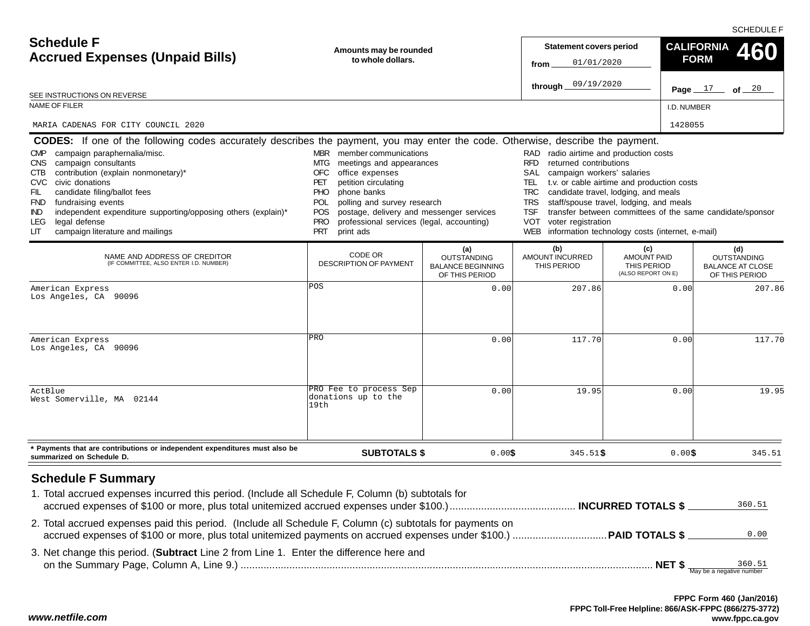SCHEDULE F

| <b>Schedule F</b><br><b>Accrued Expenses (Unpaid Bills)</b>                                                                                                                                                                                                                                                                                                                                                                                                                                                   | Amounts may be rounded<br>to whole dollars.                                                                                                                                                                                                                                                                                                      |                                                                         | <b>Statement covers period</b><br>01/01/2020<br>from<br>09/19/2020<br>through                                                                                                                             |                                                                                                                                                                                  | <b>CALIFORNIA</b><br><b>FORM</b><br>Page $17$<br>of $20$               |
|---------------------------------------------------------------------------------------------------------------------------------------------------------------------------------------------------------------------------------------------------------------------------------------------------------------------------------------------------------------------------------------------------------------------------------------------------------------------------------------------------------------|--------------------------------------------------------------------------------------------------------------------------------------------------------------------------------------------------------------------------------------------------------------------------------------------------------------------------------------------------|-------------------------------------------------------------------------|-----------------------------------------------------------------------------------------------------------------------------------------------------------------------------------------------------------|----------------------------------------------------------------------------------------------------------------------------------------------------------------------------------|------------------------------------------------------------------------|
| SEE INSTRUCTIONS ON REVERSE                                                                                                                                                                                                                                                                                                                                                                                                                                                                                   |                                                                                                                                                                                                                                                                                                                                                  |                                                                         |                                                                                                                                                                                                           |                                                                                                                                                                                  |                                                                        |
| <b>NAME OF FILER</b>                                                                                                                                                                                                                                                                                                                                                                                                                                                                                          |                                                                                                                                                                                                                                                                                                                                                  |                                                                         |                                                                                                                                                                                                           |                                                                                                                                                                                  | I.D. NUMBER                                                            |
| MARIA CADENAS FOR CITY COUNCIL 2020                                                                                                                                                                                                                                                                                                                                                                                                                                                                           |                                                                                                                                                                                                                                                                                                                                                  |                                                                         |                                                                                                                                                                                                           |                                                                                                                                                                                  | 1428055                                                                |
| <b>CODES:</b> If one of the following codes accurately describes the payment, you may enter the code. Otherwise, describe the payment.<br>campaign paraphernalia/misc.<br><b>CMP</b><br>campaign consultants<br>CNS<br>contribution (explain nonmonetary)*<br>CTB<br>civic donations<br>CVC.<br>FIL<br>candidate filing/ballot fees<br>fundraising events<br>FND<br>independent expenditure supporting/opposing others (explain)*<br>IND.<br>legal defense<br>LEG.<br>campaign literature and mailings<br>LIТ | MBR member communications<br>MTG.<br>meetings and appearances<br>office expenses<br>OFC<br>petition circulating<br>PET<br><b>PHO</b><br>phone banks<br><b>POL</b><br>polling and survey research<br>postage, delivery and messenger services<br><b>POS</b><br><b>PRO</b><br>professional services (legal, accounting)<br><b>PRT</b><br>print ads |                                                                         | RAD radio airtime and production costs<br>RFD<br>returned contributions<br>SAL<br>campaign workers' salaries<br>TEL.<br><b>TRC</b><br><b>TRS</b><br><b>TSF</b><br>VOT<br>voter registration<br><b>WEB</b> | t.v. or cable airtime and production costs<br>candidate travel, lodging, and meals<br>staff/spouse travel, lodging, and meals<br>information technology costs (internet, e-mail) | transfer between committees of the same candidate/sponsor              |
| NAME AND ADDRESS OF CREDITOR<br>(IF COMMITTEE, ALSO ENTER I.D. NUMBER)                                                                                                                                                                                                                                                                                                                                                                                                                                        | CODE OR<br><b>DESCRIPTION OF PAYMENT</b>                                                                                                                                                                                                                                                                                                         | (a)<br><b>OUTSTANDING</b><br><b>BALANCE BEGINNING</b><br>OF THIS PERIOD | (b)<br>AMOUNT INCURRED<br>THIS PERIOD                                                                                                                                                                     | (c)<br><b>AMOUNT PAID</b><br>THIS PERIOD<br>(ALSO REPORT ON E)                                                                                                                   | (d)<br><b>OUTSTANDING</b><br><b>BALANCE AT CLOSE</b><br>OF THIS PERIOD |
| American Express<br>Los Angeles, CA 90096                                                                                                                                                                                                                                                                                                                                                                                                                                                                     | POS                                                                                                                                                                                                                                                                                                                                              | 0.00                                                                    | 207.86                                                                                                                                                                                                    |                                                                                                                                                                                  | 0.00<br>207.86                                                         |
| American Express<br>Los Angeles, CA 90096                                                                                                                                                                                                                                                                                                                                                                                                                                                                     | PRO                                                                                                                                                                                                                                                                                                                                              | 0.00                                                                    | 117.70                                                                                                                                                                                                    |                                                                                                                                                                                  | 117.70<br>0.00                                                         |
| ActBlue<br>West Somerville, MA 02144                                                                                                                                                                                                                                                                                                                                                                                                                                                                          | PRO Fee to process Sep<br>donations up to the<br>19th                                                                                                                                                                                                                                                                                            | 0.00                                                                    | 19.95                                                                                                                                                                                                     |                                                                                                                                                                                  | 0.00<br>19.95                                                          |
| * Payments that are contributions or independent expenditures must also be<br>summarized on Schedule D.                                                                                                                                                                                                                                                                                                                                                                                                       | <b>SUBTOTALS \$</b>                                                                                                                                                                                                                                                                                                                              | 0.00\$                                                                  | $345.51$ \$                                                                                                                                                                                               |                                                                                                                                                                                  | 0.00\$<br>345.51                                                       |
| <b>Schedule F Summary</b><br>1. Total accrued expenses incurred this period. (Include all Schedule F, Column (b) subtotals for<br>2. Total accrued expenses paid this period. (Include all Schedule F, Column (c) subtotals for payments on                                                                                                                                                                                                                                                                   |                                                                                                                                                                                                                                                                                                                                                  |                                                                         |                                                                                                                                                                                                           |                                                                                                                                                                                  | 360.51                                                                 |
|                                                                                                                                                                                                                                                                                                                                                                                                                                                                                                               |                                                                                                                                                                                                                                                                                                                                                  |                                                                         |                                                                                                                                                                                                           |                                                                                                                                                                                  | 0.00                                                                   |
| 3. Net change this period. (Subtract Line 2 from Line 1. Enter the difference here and                                                                                                                                                                                                                                                                                                                                                                                                                        |                                                                                                                                                                                                                                                                                                                                                  |                                                                         |                                                                                                                                                                                                           |                                                                                                                                                                                  |                                                                        |

*www.netfile.com*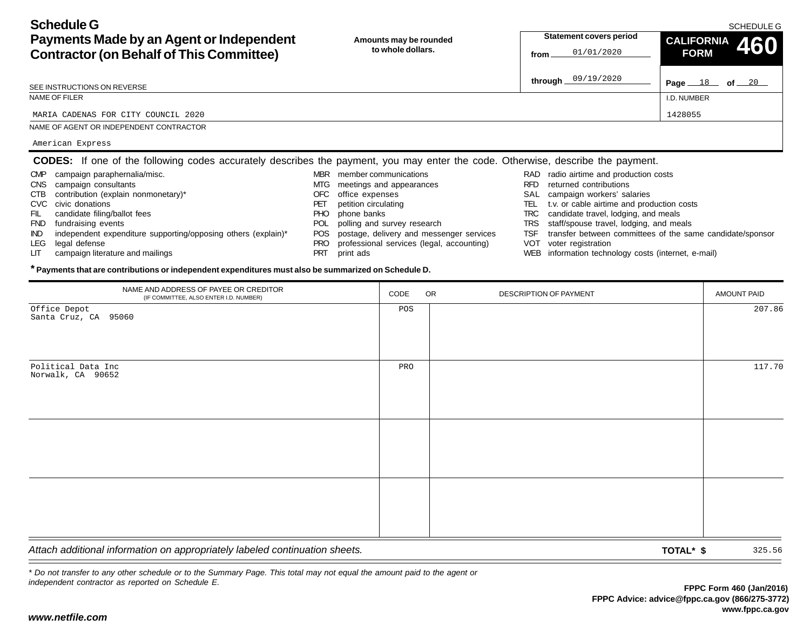SCHEDULE G

**Page** 18 of 20

**CALIFORNIA 460**

I.D. NUMBER

**FORM**

| <b>Schedule G</b>                               |
|-------------------------------------------------|
| Payments Made by an Agent or Independent        |
| <b>Contractor (on Behalf of This Committee)</b> |

**Amounts may be rounded to whole dollars.Statement covers period from**

SEE INSTRUCTIONS ON REVERSE

NAME OF FILER

MARIA CADENAS FOR CITY COUNCIL 20200 and  $1428055$ 

NAME OF AGENT OR INDEPENDENT CONTRACTOR

American Express

|     | <b>CODES:</b> If one of the following codes accurately describes the payment, you may enter the code. Otherwise, describe the payment. |            |                                              |      |                                             |
|-----|----------------------------------------------------------------------------------------------------------------------------------------|------------|----------------------------------------------|------|---------------------------------------------|
|     | CMP campaign paraphernalia/misc.                                                                                                       |            | MBR member communications                    |      | RAD radio airtime and production costs      |
|     | CNS campaign consultants                                                                                                               |            | MTG meetings and appearances                 | RFD. | returned contributions                      |
|     | CTB contribution (explain nonmonetary)*                                                                                                |            | OFC office expenses                          |      | SAL campaign workers' salaries              |
|     | CVC civic donations                                                                                                                    | <b>PET</b> | petition circulating                         | TEL. | t.v. or cable airtime and production cos    |
| FIL | candidate filing/ballot fees                                                                                                           |            | PHO phone banks                              |      | TRC candidate travel, lodging, and meals    |
|     | FND fundraising events                                                                                                                 |            | POL polling and survey research              |      | TRS staff/spouse travel, lodging, and meals |
|     | IND independent expenditure supporting/opposing others (explain)*                                                                      |            | POS postage, delivery and messenger services |      | TSF transfer between committees of the same |

PRT print ads

- IND independent expenditure supporting/opposing others (explain)\*
- LEG legal defense
- LIT campaign literature and mailings

01/01/2020

- TSF transfer between committees of the same candidate/sponsor
- VOT voter registration
- WEB information technology costs (internet, e-mail)

**\* Payments that are contributions or independent expenditures must also be summarized on Schedule D.**

| NAME AND ADDRESS OF PAYEE OR CREDITOR<br>(IF COMMITTEE, ALSO ENTER I.D. NUMBER) | CODE | OR | DESCRIPTION OF PAYMENT |           | AMOUNT PAID |
|---------------------------------------------------------------------------------|------|----|------------------------|-----------|-------------|
| Office Depot<br>Santa Cruz, CA 95060                                            | POS  |    |                        |           | 207.86      |
| Political Data Inc<br>Norwalk, CA 90652                                         | PRO  |    |                        |           | 117.70      |
|                                                                                 |      |    |                        |           |             |
|                                                                                 |      |    |                        |           |             |
| Attach additional information on appropriately labeled continuation sheets.     |      |    |                        | TOTAL* \$ | 325.56      |

PRO professional services (legal, accounting)

*\* Do not transfer to any other schedule or to the Summary Page. This total may not equal the amount paid to the agent or independent contractor as reported on Schedule E.*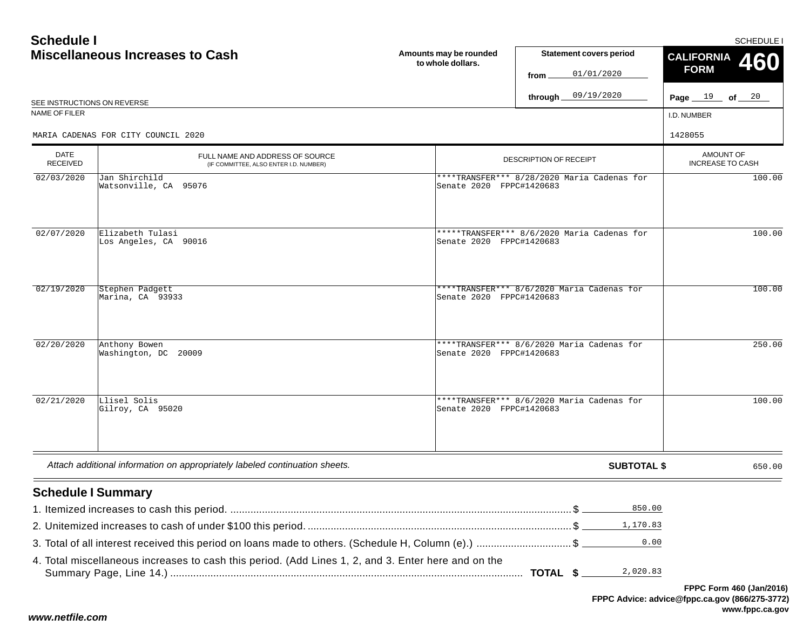## **Schedule IMiscellaneous Increase**

|                             | <b>Miscellaneous Increases to Cash</b>                                    | Amounts may be rounded<br>to whole dollars. | <b>Statement covers period</b><br>01/01/2020<br>from        | CALIFORNIA 460<br><b>FORM</b> |  |
|-----------------------------|---------------------------------------------------------------------------|---------------------------------------------|-------------------------------------------------------------|-------------------------------|--|
| SEE INSTRUCTIONS ON REVERSE |                                                                           |                                             | 09/19/2020<br>through _                                     | Page $19$ of $20$             |  |
| NAME OF FILER               |                                                                           |                                             |                                                             | I.D. NUMBER                   |  |
|                             | MARIA CADENAS FOR CITY COUNCIL 2020                                       |                                             |                                                             | 1428055                       |  |
| <b>DATE</b><br>RECEIVED     | FULL NAME AND ADDRESS OF SOURCE<br>(IF COMMITTEE, ALSO ENTER I.D. NUMBER) |                                             | <b>DESCRIPTION OF RECEIPT</b>                               |                               |  |
| 02/03/2020                  | Jan Shirchild<br>Watsonville, CA 95076                                    | Senate 2020                                 | ****TRANSFER*** 8/28/2020 Maria Cadenas for<br>FPPC#1420683 | 100.00                        |  |

| 02/03/2020 | Jan Shirchild<br>Watsonville, CA 95076    | ****TRANSFER*** 8/28/2020 Maria Cadenas for<br>Senate 2020 FPPC#1420683 | 100.00 |
|------------|-------------------------------------------|-------------------------------------------------------------------------|--------|
| 02/07/2020 | Elizabeth Tulasi<br>Los Angeles, CA 90016 | *****TRANSFER*** 8/6/2020 Maria Cadenas for<br>Senate 2020 FPPC#1420683 | 100.00 |
| 02/19/2020 | Stephen Padgett<br>Marina, CA 93933       | ****TRANSFER*** 8/6/2020 Maria Cadenas for<br>Senate 2020 FPPC#1420683  | 100.00 |
| 02/20/2020 | Anthony Bowen<br>Washington, DC 20009     | ****TRANSFER*** 8/6/2020 Maria Cadenas for<br>Senate 2020 FPPC#1420683  | 250.00 |
| 02/21/2020 | Llisel Solis<br>Gilroy, CA 95020          | ****TRANSFER*** 8/6/2020 Maria Cadenas for<br>Senate 2020 FPPC#1420683  | 100.00 |

| Attach additional information on appropriately labeled continuation sheets. | SUBTOTAL | 650.00 |
|-----------------------------------------------------------------------------|----------|--------|
|-----------------------------------------------------------------------------|----------|--------|

## **Schedule I Summary**

| 4. Total miscellaneous increases to cash this period. (Add Lines 1, 2, and 3. Enter here and on the |  |
|-----------------------------------------------------------------------------------------------------|--|

**FPPC Advice: advice@fppc.ca.gov (866/275-3772) www.fppc.ca.gov FPPC Form 460 (Jan/2016)**

SCHEDULE I